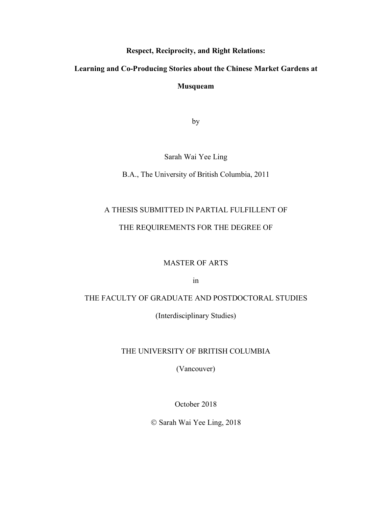**Respect, Reciprocity, and Right Relations:** 

**Learning and Co-Producing Stories about the Chinese Market Gardens at** 

**Musqueam**

by

Sarah Wai Yee Ling

B.A., The University of British Columbia, 2011

# A THESIS SUBMITTED IN PARTIAL FULFILLENT OF

# THE REQUIREMENTS FOR THE DEGREE OF

## MASTER OF ARTS

in

# THE FACULTY OF GRADUATE AND POSTDOCTORAL STUDIES

(Interdisciplinary Studies)

# THE UNIVERSITY OF BRITISH COLUMBIA

(Vancouver)

October 2018

Ó Sarah Wai Yee Ling, 2018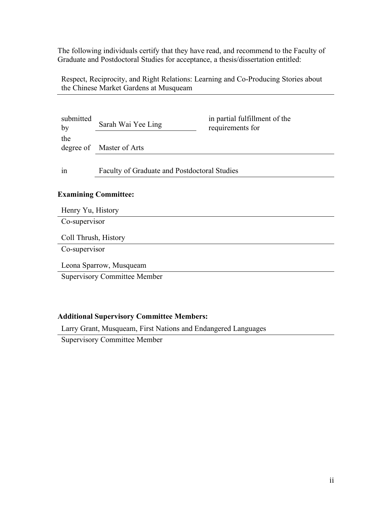The following individuals certify that they have read, and recommend to the Faculty of Graduate and Postdoctoral Studies for acceptance, a thesis/dissertation entitled:

Respect, Reciprocity, and Right Relations: Learning and Co-Producing Stories about the Chinese Market Gardens at Musqueam

| submitted<br>by | Sarah Wai Yee Ling                                  | in partial fulfillment of the<br>requirements for |
|-----------------|-----------------------------------------------------|---------------------------------------------------|
| the             | degree of Master of Arts                            |                                                   |
| 1n              | <b>Faculty of Graduate and Postdoctoral Studies</b> |                                                   |

# **Examining Committee:**

| Henry Yu, History                   |
|-------------------------------------|
| Co-supervisor                       |
| Coll Thrush, History                |
| Co-supervisor                       |
| Leona Sparrow, Musqueam             |
| <b>Supervisory Committee Member</b> |
|                                     |

## **Additional Supervisory Committee Members:**

Larry Grant, Musqueam, First Nations and Endangered Languages

Supervisory Committee Member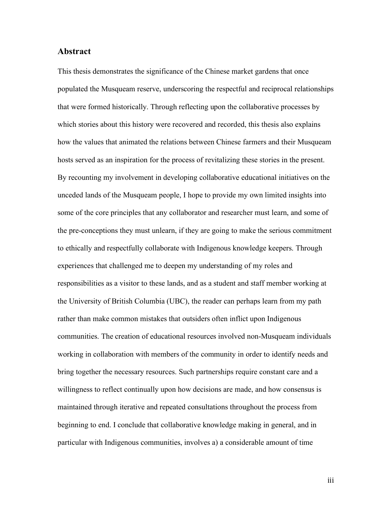## **Abstract**

This thesis demonstrates the significance of the Chinese market gardens that once populated the Musqueam reserve, underscoring the respectful and reciprocal relationships that were formed historically. Through reflecting upon the collaborative processes by which stories about this history were recovered and recorded, this thesis also explains how the values that animated the relations between Chinese farmers and their Musqueam hosts served as an inspiration for the process of revitalizing these stories in the present. By recounting my involvement in developing collaborative educational initiatives on the unceded lands of the Musqueam people, I hope to provide my own limited insights into some of the core principles that any collaborator and researcher must learn, and some of the pre-conceptions they must unlearn, if they are going to make the serious commitment to ethically and respectfully collaborate with Indigenous knowledge keepers. Through experiences that challenged me to deepen my understanding of my roles and responsibilities as a visitor to these lands, and as a student and staff member working at the University of British Columbia (UBC), the reader can perhaps learn from my path rather than make common mistakes that outsiders often inflict upon Indigenous communities. The creation of educational resources involved non-Musqueam individuals working in collaboration with members of the community in order to identify needs and bring together the necessary resources. Such partnerships require constant care and a willingness to reflect continually upon how decisions are made, and how consensus is maintained through iterative and repeated consultations throughout the process from beginning to end. I conclude that collaborative knowledge making in general, and in particular with Indigenous communities, involves a) a considerable amount of time

iii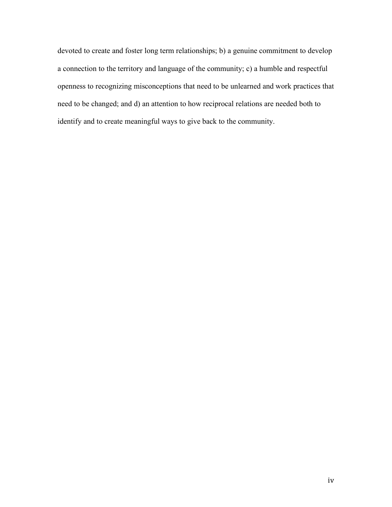devoted to create and foster long term relationships; b) a genuine commitment to develop a connection to the territory and language of the community; c) a humble and respectful openness to recognizing misconceptions that need to be unlearned and work practices that need to be changed; and d) an attention to how reciprocal relations are needed both to identify and to create meaningful ways to give back to the community.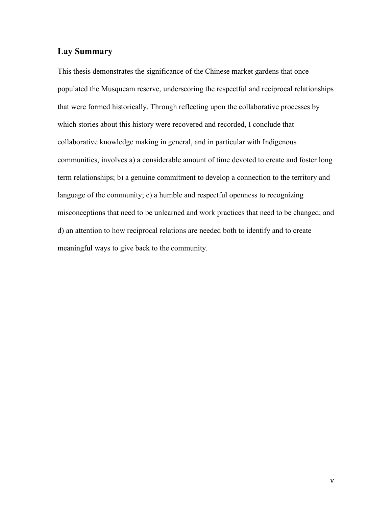# **Lay Summary**

This thesis demonstrates the significance of the Chinese market gardens that once populated the Musqueam reserve, underscoring the respectful and reciprocal relationships that were formed historically. Through reflecting upon the collaborative processes by which stories about this history were recovered and recorded, I conclude that collaborative knowledge making in general, and in particular with Indigenous communities, involves a) a considerable amount of time devoted to create and foster long term relationships; b) a genuine commitment to develop a connection to the territory and language of the community; c) a humble and respectful openness to recognizing misconceptions that need to be unlearned and work practices that need to be changed; and d) an attention to how reciprocal relations are needed both to identify and to create meaningful ways to give back to the community.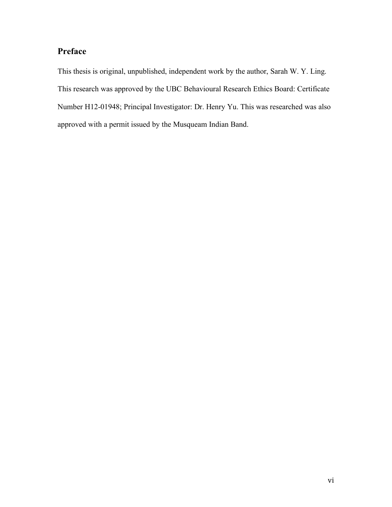# **Preface**

This thesis is original, unpublished, independent work by the author, Sarah W. Y. Ling. This research was approved by the UBC Behavioural Research Ethics Board: Certificate Number H12-01948; Principal Investigator: Dr. Henry Yu. This was researched was also approved with a permit issued by the Musqueam Indian Band.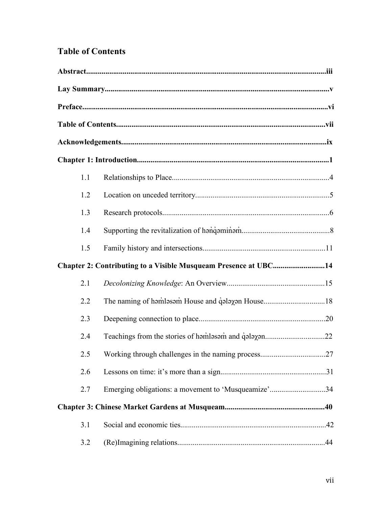# **Table of Contents**

| 1.1 |                                                                 |  |
|-----|-----------------------------------------------------------------|--|
| 1.2 |                                                                 |  |
| 1.3 |                                                                 |  |
| 1.4 |                                                                 |  |
| 1.5 |                                                                 |  |
|     | Chapter 2: Contributing to a Visible Musqueam Presence at UBC14 |  |
| 2.1 |                                                                 |  |
| 2.2 |                                                                 |  |
| 2.3 |                                                                 |  |
| 2.4 |                                                                 |  |
| 2.5 |                                                                 |  |
| 2.6 |                                                                 |  |
| 2.7 | Emerging obligations: a movement to 'Musqueamize'34             |  |
|     |                                                                 |  |
| 3.1 |                                                                 |  |
| 3.2 |                                                                 |  |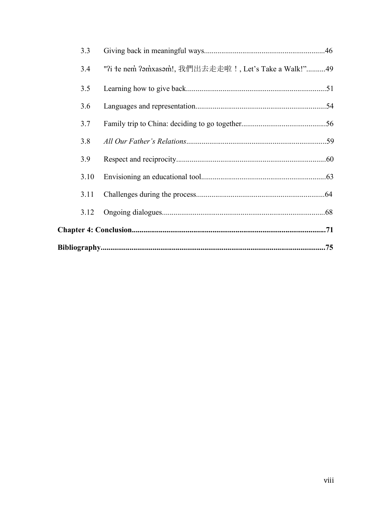| 3.3  |                                                       |  |
|------|-------------------------------------------------------|--|
| 3.4  | "?i te nem ?amxasam!, 我們出去走走啦!, Let's Take a Walk!"49 |  |
| 3.5  |                                                       |  |
| 3.6  |                                                       |  |
| 3.7  |                                                       |  |
| 3.8  |                                                       |  |
| 3.9  |                                                       |  |
| 3.10 |                                                       |  |
| 3.11 |                                                       |  |
| 3.12 |                                                       |  |
|      |                                                       |  |
|      |                                                       |  |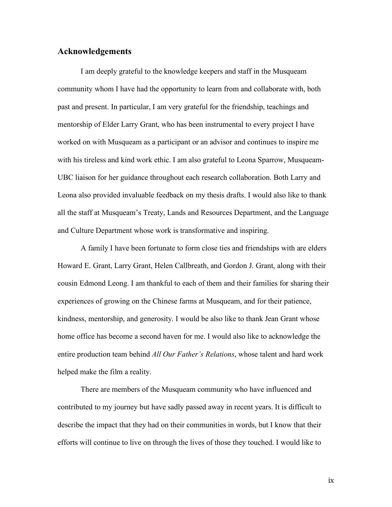## **Acknowledgements**

I am deeply grateful to the knowledge keepers and staff in the Musqueam community whom I have had the opportunity to learn from and collaborate with, both past and present. In particular, I am very grateful for the friendship, teachings and mentorship of Elder Larry Grant, who has been instrumental to every project I have worked on with Musqueam as a participant or an advisor and continues to inspire me with his tireless and kind work ethic. I am also grateful to Leona Sparrow, Musqueam-UBC liaison for her guidance throughout each research collaboration. Both Larry and Leona also provided invaluable feedback on my thesis drafts. I would also like to thank all the staff at Musqueam's Treaty, Lands and Resources Department, and the Language and Culture Department whose work is transformative and inspiring.

A family I have been fortunate to form close ties and friendships with are elders Howard E. Grant, Larry Grant, Helen Callbreath, and Gordon J. Grant, along with their cousin Edmond Leong. I am thankful to each of them and their families for sharing their experiences of growing on the Chinese farms at Musqueam, and for their patience, kindness, mentorship, and generosity. I would be also like to thank Jean Grant whose home office has become a second haven for me. I would also like to acknowledge the entire production team behind *All Our Father's Relations*, whose talent and hard work helped make the film a reality.

There are members of the Musqueam community who have influenced and contributed to my journey but have sadly passed away in recent years. It is difficult to describe the impact that they had on their communities in words, but I know that their efforts will continue to live on through the lives of those they touched. I would like to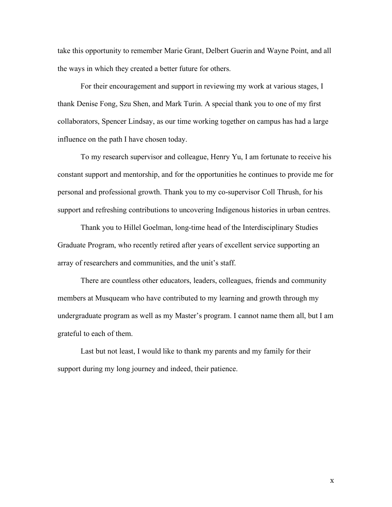take this opportunity to remember Marie Grant, Delbert Guerin and Wayne Point, and all the ways in which they created a better future for others.

For their encouragement and support in reviewing my work at various stages, I thank Denise Fong, Szu Shen, and Mark Turin. A special thank you to one of my first collaborators, Spencer Lindsay, as our time working together on campus has had a large influence on the path I have chosen today.

To my research supervisor and colleague, Henry Yu, I am fortunate to receive his constant support and mentorship, and for the opportunities he continues to provide me for personal and professional growth. Thank you to my co-supervisor Coll Thrush, for his support and refreshing contributions to uncovering Indigenous histories in urban centres.

Thank you to Hillel Goelman, long-time head of the Interdisciplinary Studies Graduate Program, who recently retired after years of excellent service supporting an array of researchers and communities, and the unit's staff.

There are countless other educators, leaders, colleagues, friends and community members at Musqueam who have contributed to my learning and growth through my undergraduate program as well as my Master's program. I cannot name them all, but I am grateful to each of them.

Last but not least, I would like to thank my parents and my family for their support during my long journey and indeed, their patience.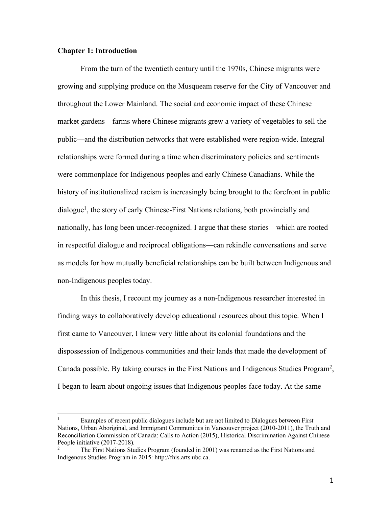#### **Chapter 1: Introduction**

From the turn of the twentieth century until the 1970s, Chinese migrants were growing and supplying produce on the Musqueam reserve for the City of Vancouver and throughout the Lower Mainland. The social and economic impact of these Chinese market gardens—farms where Chinese migrants grew a variety of vegetables to sell the public—and the distribution networks that were established were region-wide. Integral relationships were formed during a time when discriminatory policies and sentiments were commonplace for Indigenous peoples and early Chinese Canadians. While the history of institutionalized racism is increasingly being brought to the forefront in public dialogue1, the story of early Chinese-First Nations relations, both provincially and nationally, has long been under-recognized. I argue that these stories—which are rooted in respectful dialogue and reciprocal obligations—can rekindle conversations and serve as models for how mutually beneficial relationships can be built between Indigenous and non-Indigenous peoples today.

In this thesis, I recount my journey as a non-Indigenous researcher interested in finding ways to collaboratively develop educational resources about this topic. When I first came to Vancouver, I knew very little about its colonial foundations and the dispossession of Indigenous communities and their lands that made the development of Canada possible. By taking courses in the First Nations and Indigenous Studies Program2, I began to learn about ongoing issues that Indigenous peoples face today. At the same

 $1 \text{ Examples of recent public dialogs include but are not limited to Dialogues between First.}$ Nations, Urban Aboriginal, and Immigrant Communities in Vancouver project (2010-2011), the Truth and Reconciliation Commission of Canada: Calls to Action (2015), Historical Discrimination Against Chinese People initiative (2017-2018).

<sup>2</sup> The First Nations Studies Program (founded in 2001) was renamed as the First Nations and Indigenous Studies Program in 2015: http://fnis.arts.ubc.ca.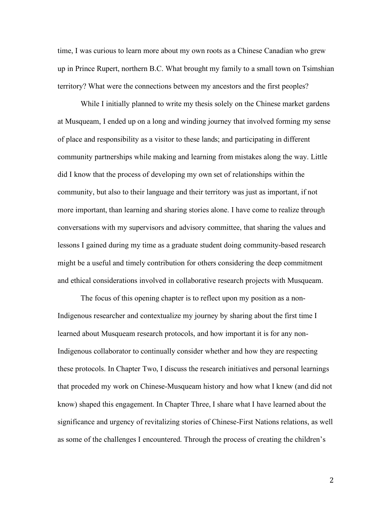time, I was curious to learn more about my own roots as a Chinese Canadian who grew up in Prince Rupert, northern B.C. What brought my family to a small town on Tsimshian territory? What were the connections between my ancestors and the first peoples?

While I initially planned to write my thesis solely on the Chinese market gardens at Musqueam, I ended up on a long and winding journey that involved forming my sense of place and responsibility as a visitor to these lands; and participating in different community partnerships while making and learning from mistakes along the way. Little did I know that the process of developing my own set of relationships within the community, but also to their language and their territory was just as important, if not more important, than learning and sharing stories alone. I have come to realize through conversations with my supervisors and advisory committee, that sharing the values and lessons I gained during my time as a graduate student doing community-based research might be a useful and timely contribution for others considering the deep commitment and ethical considerations involved in collaborative research projects with Musqueam.

The focus of this opening chapter is to reflect upon my position as a non-Indigenous researcher and contextualize my journey by sharing about the first time I learned about Musqueam research protocols, and how important it is for any non-Indigenous collaborator to continually consider whether and how they are respecting these protocols. In Chapter Two, I discuss the research initiatives and personal learnings that proceded my work on Chinese-Musqueam history and how what I knew (and did not know) shaped this engagement. In Chapter Three, I share what I have learned about the significance and urgency of revitalizing stories of Chinese-First Nations relations, as well as some of the challenges I encountered. Through the process of creating the children's

2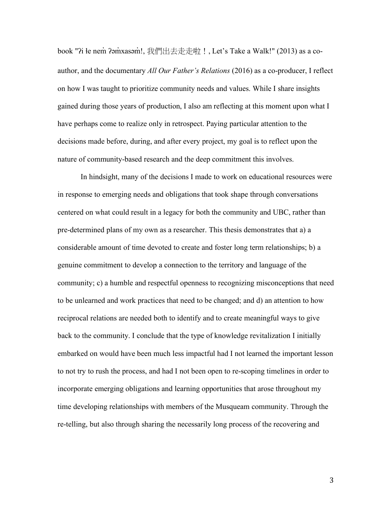book "?i łe nem ?amxasam!, 我們出去走走啦!, Let's Take a Walk!" (2013) as a coauthor, and the documentary *All Our Father's Relations* (2016) as a co-producer, I reflect on how I was taught to prioritize community needs and values. While I share insights gained during those years of production, I also am reflecting at this moment upon what I have perhaps come to realize only in retrospect. Paying particular attention to the decisions made before, during, and after every project, my goal is to reflect upon the nature of community-based research and the deep commitment this involves.

In hindsight, many of the decisions I made to work on educational resources were in response to emerging needs and obligations that took shape through conversations centered on what could result in a legacy for both the community and UBC, rather than pre-determined plans of my own as a researcher. This thesis demonstrates that a) a considerable amount of time devoted to create and foster long term relationships; b) a genuine commitment to develop a connection to the territory and language of the community; c) a humble and respectful openness to recognizing misconceptions that need to be unlearned and work practices that need to be changed; and d) an attention to how reciprocal relations are needed both to identify and to create meaningful ways to give back to the community. I conclude that the type of knowledge revitalization I initially embarked on would have been much less impactful had I not learned the important lesson to not try to rush the process, and had I not been open to re-scoping timelines in order to incorporate emerging obligations and learning opportunities that arose throughout my time developing relationships with members of the Musqueam community. Through the re-telling, but also through sharing the necessarily long process of the recovering and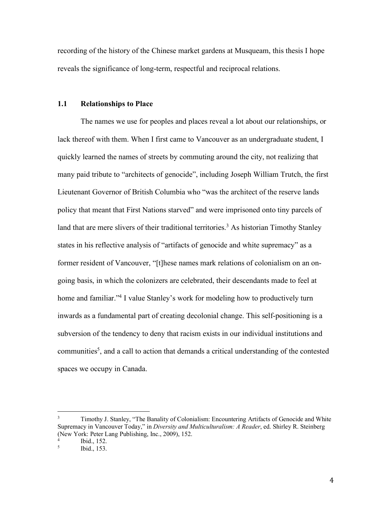recording of the history of the Chinese market gardens at Musqueam, this thesis I hope reveals the significance of long-term, respectful and reciprocal relations.

#### **1.1 Relationships to Place**

The names we use for peoples and places reveal a lot about our relationships, or lack thereof with them. When I first came to Vancouver as an undergraduate student, I quickly learned the names of streets by commuting around the city, not realizing that many paid tribute to "architects of genocide", including Joseph William Trutch, the first Lieutenant Governor of British Columbia who "was the architect of the reserve lands policy that meant that First Nations starved" and were imprisoned onto tiny parcels of land that are mere slivers of their traditional territories.<sup>3</sup> As historian Timothy Stanley states in his reflective analysis of "artifacts of genocide and white supremacy" as a former resident of Vancouver, "[t]hese names mark relations of colonialism on an ongoing basis, in which the colonizers are celebrated, their descendants made to feel at home and familiar."<sup>4</sup> I value Stanley's work for modeling how to productively turn inwards as a fundamental part of creating decolonial change. This self-positioning is a subversion of the tendency to deny that racism exists in our individual institutions and communities<sup>5</sup>, and a call to action that demands a critical understanding of the contested spaces we occupy in Canada.

<sup>&</sup>lt;sup>3</sup> Timothy J. Stanley, "The Banality of Colonialism: Encountering Artifacts of Genocide and White Supremacy in Vancouver Today," in *Diversity and Multiculturalism: A Reader*, ed. Shirley R. Steinberg (New York: Peter Lang Publishing, Inc., 2009), 152.

 $\frac{4}{5}$  Ibid., 152.

<sup>5</sup> Ibid., 153.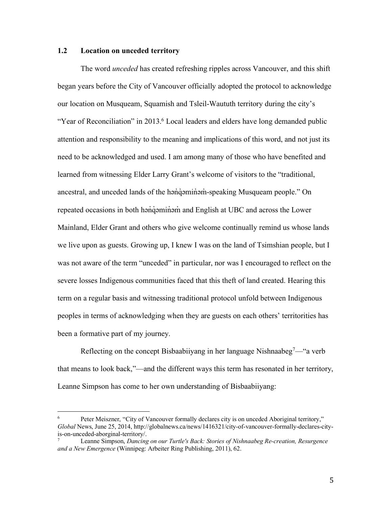## **1.2 Location on unceded territory**

The word *unceded* has created refreshing ripples across Vancouver, and this shift began years before the City of Vancouver officially adopted the protocol to acknowledge our location on Musqueam, Squamish and Tsleil-Waututh territory during the city's "Year of Reconciliation" in 2013.<sup>6</sup> Local leaders and elders have long demanded public attention and responsibility to the meaning and implications of this word, and not just its need to be acknowledged and used. I am among many of those who have benefited and learned from witnessing Elder Larry Grant's welcome of visitors to the "traditional, ancestral, and unceded lands of the hənqəminəm-speaking Musqueam people." On repeated occasions in both hənqəminəm and English at UBC and across the Lower Mainland, Elder Grant and others who give welcome continually remind us whose lands we live upon as guests. Growing up, I knew I was on the land of Tsimshian people, but I was not aware of the term "unceded" in particular, nor was I encouraged to reflect on the severe losses Indigenous communities faced that this theft of land created. Hearing this term on a regular basis and witnessing traditional protocol unfold between Indigenous peoples in terms of acknowledging when they are guests on each others' territorities has been a formative part of my journey.

Reflecting on the concept Bisbaabiiyang in her language Nishnaabeg<sup>7</sup>— "a verb" that means to look back,"—and the different ways this term has resonated in her territory, Leanne Simpson has come to her own understanding of Bisbaabiiyang:

 $6 \qquad$  Peter Meiszner, "City of Vancouver formally declares city is on unceded Aboriginal territory," *Global* News, June 25, 2014, http://globalnews.ca/news/1416321/city-of-vancouver-formally-declares-cityis-on-unceded-aborginal-territory/.

<sup>7</sup> Leanne Simpson, *Dancing on our Turtle's Back: Stories of Nishnaabeg Re-creation, Resurgence and a New Emergence* (Winnipeg: Arbeiter Ring Publishing, 2011), 62.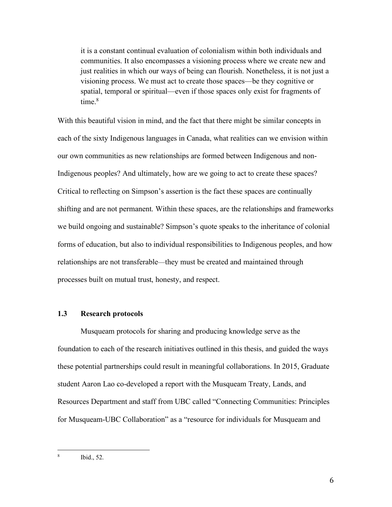it is a constant continual evaluation of colonialism within both individuals and communities. It also encompasses a visioning process where we create new and just realities in which our ways of being can flourish. Nonetheless, it is not just a visioning process. We must act to create those spaces—be they cognitive or spatial, temporal or spiritual—even if those spaces only exist for fragments of time $8$ 

With this beautiful vision in mind, and the fact that there might be similar concepts in each of the sixty Indigenous languages in Canada, what realities can we envision within our own communities as new relationships are formed between Indigenous and non-Indigenous peoples? And ultimately, how are we going to act to create these spaces? Critical to reflecting on Simpson's assertion is the fact these spaces are continually shifting and are not permanent. Within these spaces, are the relationships and frameworks we build ongoing and sustainable? Simpson's quote speaks to the inheritance of colonial forms of education, but also to individual responsibilities to Indigenous peoples, and how relationships are not transferable—they must be created and maintained through processes built on mutual trust, honesty, and respect.

# **1.3 Research protocols**

Musqueam protocols for sharing and producing knowledge serve as the foundation to each of the research initiatives outlined in this thesis, and guided the ways these potential partnerships could result in meaningful collaborations. In 2015, Graduate student Aaron Lao co-developed a report with the Musqueam Treaty, Lands, and Resources Department and staff from UBC called "Connecting Communities: Principles for Musqueam-UBC Collaboration" as a "resource for individuals for Musqueam and

 <sup>8</sup> Ibid., 52.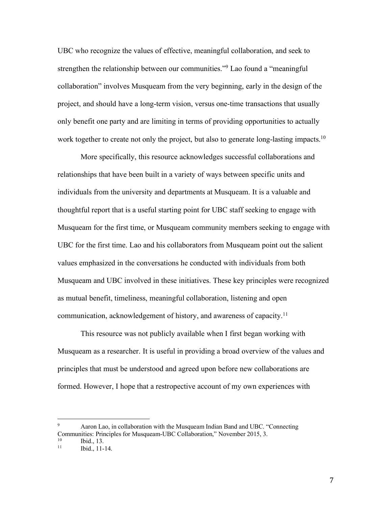UBC who recognize the values of effective, meaningful collaboration, and seek to strengthen the relationship between our communities."<sup>9</sup> Lao found a "meaningful" collaboration" involves Musqueam from the very beginning, early in the design of the project, and should have a long-term vision, versus one-time transactions that usually only benefit one party and are limiting in terms of providing opportunities to actually work together to create not only the project, but also to generate long-lasting impacts.<sup>10</sup>

More specifically, this resource acknowledges successful collaborations and relationships that have been built in a variety of ways between specific units and individuals from the university and departments at Musqueam. It is a valuable and thoughtful report that is a useful starting point for UBC staff seeking to engage with Musqueam for the first time, or Musqueam community members seeking to engage with UBC for the first time. Lao and his collaborators from Musqueam point out the salient values emphasized in the conversations he conducted with individuals from both Musqueam and UBC involved in these initiatives. These key principles were recognized as mutual benefit, timeliness, meaningful collaboration, listening and open communication, acknowledgement of history, and awareness of capacity.<sup>11</sup>

This resource was not publicly available when I first began working with Musqueam as a researcher. It is useful in providing a broad overview of the values and principles that must be understood and agreed upon before new collaborations are formed. However, I hope that a restropective account of my own experiences with

 <sup>9</sup> Aaron Lao, in collaboration with the Musqueam Indian Band and UBC. "Connecting Communities: Principles for Musqueam-UBC Collaboration," November 2015, 3.<br>
<sup>10</sup> Ibid., 13.<br>
<sup>11</sup> Ibid., 11.<sup>14</sup>

Ibid., 11-14.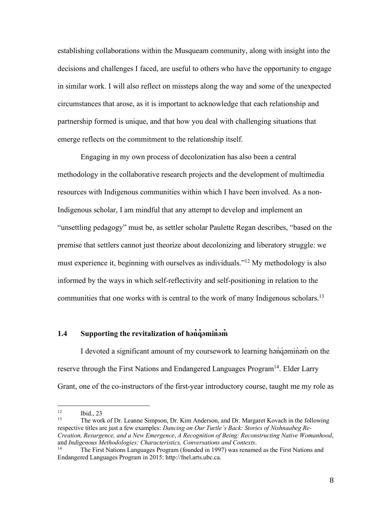establishing collaborations within the Musqueam community, along with insight into the decisions and challenges I faced, are useful to others who have the opportunity to engage in similar work. I will also reflect on missteps along the way and some of the unexpected circumstances that arose, as it is important to acknowledge that each relationship and partnership formed is unique, and that how you deal with challenging situations that emerge reflects on the commitment to the relationship itself.

Engaging in my own process of decolonization has also been a central methodology in the collaborative research projects and the development of multimedia resources with Indigenous communities within which I have been involved. As a non-Indigenous scholar, I am mindful that any attempt to develop and implement an "unsettling pedagogy" must be, as settler scholar Paulette Regan describes, "based on the premise that settlers cannot just theorize about decolonizing and liberatory struggle: we must experience it, beginning with ourselves as individuals."12 My methodology is also informed by the ways in which self-reflectivity and self-positioning in relation to the communities that one works with is central to the work of many Indigenous scholars.<sup>13</sup>

#### 1.4 **Supporting the revitalization of h**and-

I devoted a significant amount of my coursework to learning hən̓q̓ əmin̓ əm̓ on the reserve through the First Nations and Endangered Languages Program<sup>14</sup>. Elder Larry Grant, one of the co-instructors of the first-year introductory course, taught me my role as

<sup>13</sup> The work of Dr. Leanne Simpson, Dr. Kim Anderson, and Dr. Margaret Kovach in the following respective titles are just a few examples: *Dancing on Our Turtle's Back: Stories of Nishnaabeg Re-Creation, Resurgence, and a New Emergence*, *A Recognition of Being: Reconstructing Native Womanhood*, and *Indigenous Methodologies: Characteristics, Conversations and Contexts*.

 $12$  Ibid., 23

<sup>14</sup> The First Nations Languages Program (founded in 1997) was renamed as the First Nations and Endangered Languages Program in 2015: http://fnel.arts.ubc.ca.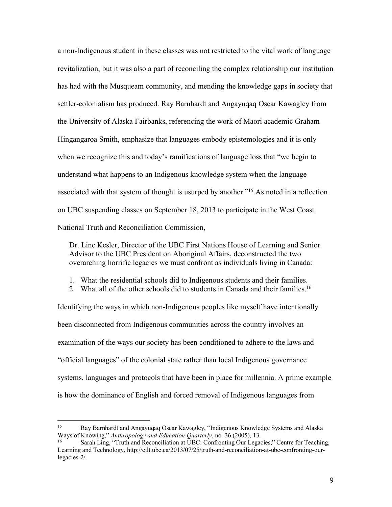a non-Indigenous student in these classes was not restricted to the vital work of language revitalization, but it was also a part of reconciling the complex relationship our institution has had with the Musqueam community, and mending the knowledge gaps in society that settler-colonialism has produced. Ray Barnhardt and Angayuqaq Oscar Kawagley from the University of Alaska Fairbanks, referencing the work of Maori academic Graham Hingangaroa Smith, emphasize that languages embody epistemologies and it is only when we recognize this and today's ramifications of language loss that "we begin to understand what happens to an Indigenous knowledge system when the language associated with that system of thought is usurped by another."15 As noted in a reflection on UBC suspending classes on September 18, 2013 to participate in the West Coast National Truth and Reconciliation Commission,

Dr. Linc Kesler, Director of the UBC First Nations House of Learning and Senior Advisor to the UBC President on Aboriginal Affairs, deconstructed the two overarching horrific legacies we must confront as individuals living in Canada:

1. What the residential schools did to Indigenous students and their families.

2. What all of the other schools did to students in Canada and their families.<sup>16</sup>

Identifying the ways in which non-Indigenous peoples like myself have intentionally been disconnected from Indigenous communities across the country involves an examination of the ways our society has been conditioned to adhere to the laws and "official languages" of the colonial state rather than local Indigenous governance systems, languages and protocols that have been in place for millennia. A prime example is how the dominance of English and forced removal of Indigenous languages from

 <sup>15</sup> Ray Barnhardt and Angayuqaq Oscar Kawagley, "Indigenous Knowledge Systems and Alaska Ways of Knowing," *Anthropology and Education Quarterly*, no. 36 (2005), 13.

<sup>16</sup> Sarah Ling, "Truth and Reconciliation at UBC: Confronting Our Legacies," Centre for Teaching, Learning and Technology, http://ctlt.ubc.ca/2013/07/25/truth-and-reconciliation-at-ubc-confronting-ourlegacies-2/.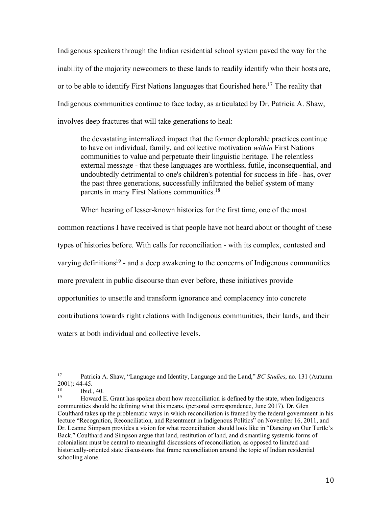Indigenous speakers through the Indian residential school system paved the way for the inability of the majority newcomers to these lands to readily identify who their hosts are, or to be able to identify First Nations languages that flourished here.<sup>17</sup> The reality that Indigenous communities continue to face today, as articulated by Dr. Patricia A. Shaw, involves deep fractures that will take generations to heal:

the devastating internalized impact that the former deplorable practices continue to have on individual, family, and collective motivation *within* First Nations communities to value and perpetuate their linguistic heritage. The relentless external message - that these languages are worthless, futile, inconsequential, and undoubtedly detrimental to one's children's potential for success in life - has, over the past three generations, successfully infiltrated the belief system of many parents in many First Nations communities.<sup>18</sup>

When hearing of lesser-known histories for the first time, one of the most

common reactions I have received is that people have not heard about or thought of these types of histories before. With calls for reconciliation - with its complex, contested and varying definitions<sup>19</sup> - and a deep awakening to the concerns of Indigenous communities more prevalent in public discourse than ever before, these initiatives provide opportunities to unsettle and transform ignorance and complacency into concrete contributions towards right relations with Indigenous communities, their lands, and their waters at both individual and collective levels.

 <sup>17</sup> Patricia A. Shaw, "Language and Identity, Language and the Land," *BC Studies*, no. 131 (Autumn  $2001$ ): 44-45.

 $18$  Ibid., 40.

<sup>19</sup> Howard E. Grant has spoken about how reconciliation is defined by the state, when Indigenous communities should be defining what this means. (personal correspondence, June 2017). Dr. Glen Coulthard takes up the problematic ways in which reconciliation is framed by the federal government in his lecture "Recognition, Reconciliation, and Resentment in Indigenous Politics" on November 16, 2011, and Dr. Leanne Simpson provides a vision for what reconciliation should look like in "Dancing on Our Turtle's Back." Coulthard and Simpson argue that land, restitution of land, and dismantling systemic forms of colonialism must be central to meaningful discussions of reconciliation, as opposed to limited and historically-oriented state discussions that frame reconciliation around the topic of Indian residential schooling alone.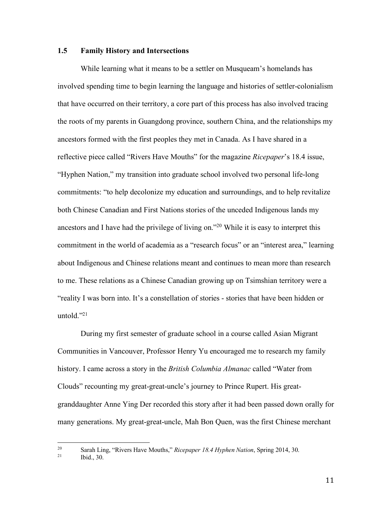#### **1.5 Family History and Intersections**

While learning what it means to be a settler on Musqueam's homelands has involved spending time to begin learning the language and histories of settler-colonialism that have occurred on their territory, a core part of this process has also involved tracing the roots of my parents in Guangdong province, southern China, and the relationships my ancestors formed with the first peoples they met in Canada. As I have shared in a reflective piece called "Rivers Have Mouths" for the magazine *Ricepaper*'s 18.4 issue, "Hyphen Nation," my transition into graduate school involved two personal life-long commitments: "to help decolonize my education and surroundings, and to help revitalize both Chinese Canadian and First Nations stories of the unceded Indigenous lands my ancestors and I have had the privilege of living on."20 While it is easy to interpret this commitment in the world of academia as a "research focus" or an "interest area," learning about Indigenous and Chinese relations meant and continues to mean more than research to me. These relations as a Chinese Canadian growing up on Tsimshian territory were a "reality I was born into. It's a constellation of stories - stories that have been hidden or untold. $"^{21}$ 

During my first semester of graduate school in a course called Asian Migrant Communities in Vancouver, Professor Henry Yu encouraged me to research my family history. I came across a story in the *British Columbia Almanac* called "Water from Clouds" recounting my great-great-uncle's journey to Prince Rupert. His greatgranddaughter Anne Ying Der recorded this story after it had been passed down orally for many generations. My great-great-uncle, Mah Bon Quen, was the first Chinese merchant

<sup>&</sup>lt;sup>20</sup> Sarah Ling, "Rivers Have Mouths," *Ricepaper 18.4 Hyphen Nation*, Spring 2014, 30.

Ibid., 30.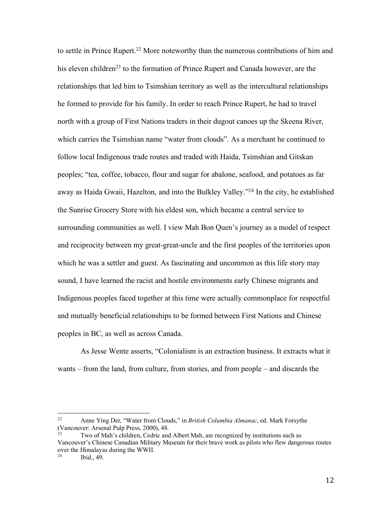to settle in Prince Rupert.<sup>22</sup> More noteworthy than the numerous contributions of him and his eleven children<sup>23</sup> to the formation of Prince Rupert and Canada however, are the relationships that led him to Tsimshian territory as well as the intercultural relationships he formed to provide for his family. In order to reach Prince Rupert, he had to travel north with a group of First Nations traders in their dugout canoes up the Skeena River, which carries the Tsimshian name "water from clouds". As a merchant he continued to follow local Indigenous trade routes and traded with Haida, Tsimshian and Gitskan peoples; "tea, coffee, tobacco, flour and sugar for abalone, seafood, and potatoes as far away as Haida Gwaii, Hazelton, and into the Bulkley Valley."24 In the city, he established the Sunrise Grocery Store with his eldest son, which became a central service to surrounding communities as well. I view Mah Bon Quen's journey as a model of respect and reciprocity between my great-great-uncle and the first peoples of the territories upon which he was a settler and guest. As fascinating and uncommon as this life story may sound, I have learned the racist and hostile environments early Chinese migrants and Indigenous peoples faced together at this time were actually commonplace for respectful and mutually beneficial relationships to be formed between First Nations and Chinese peoples in BC, as well as across Canada.

As Jesse Wente asserts, "Colonialism is an extraction business. It extracts what it wants – from the land, from culture, from stories, and from people – and discards the

 <sup>22</sup> Anne Ying Der, "Water from Clouds," in *British Columbia Almanac*, ed. Mark Forsythe (Vancouver: Arsenal Pulp Press, 2000), 48.

Two of Mah's children, Cedric and Albert Mah, are recognized by institutions such as Vancouver's Chinese Canadian Military Museum for their brave work as pilots who flew dangerous routes over the Himalayas during the WWII.

Ibid., 49.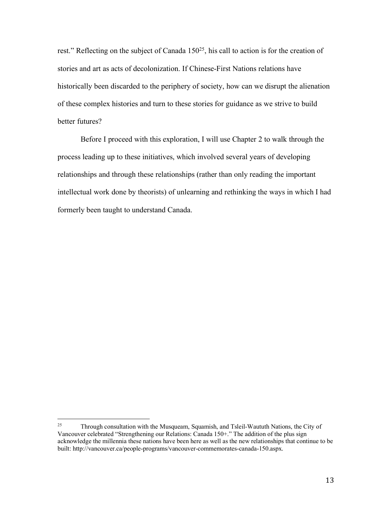rest." Reflecting on the subject of Canada 150<sup>25</sup>, his call to action is for the creation of stories and art as acts of decolonization. If Chinese-First Nations relations have historically been discarded to the periphery of society, how can we disrupt the alienation of these complex histories and turn to these stories for guidance as we strive to build better futures?

Before I proceed with this exploration, I will use Chapter 2 to walk through the process leading up to these initiatives, which involved several years of developing relationships and through these relationships (rather than only reading the important intellectual work done by theorists) of unlearning and rethinking the ways in which I had formerly been taught to understand Canada.

<sup>&</sup>lt;sup>25</sup> Through consultation with the Musqueam, Squamish, and Tsleil-Waututh Nations, the City of Vancouver celebrated "Strengthening our Relations: Canada 150+." The addition of the plus sign acknowledge the millennia these nations have been here as well as the new relationships that continue to be built: http://vancouver.ca/people-programs/vancouver-commemorates-canada-150.aspx.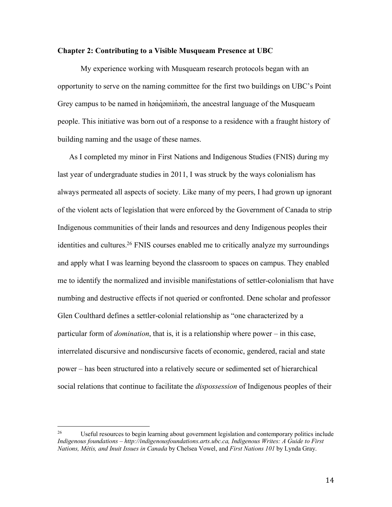#### **Chapter 2: Contributing to a Visible Musqueam Presence at UBC**

My experience working with Musqueam research protocols began with an opportunity to serve on the naming committee for the first two buildings on UBC's Point Grey campus to be named in hən'qəminəm, the ancestral language of the Musqueam people. This initiative was born out of a response to a residence with a fraught history of building naming and the usage of these names.

As I completed my minor in First Nations and Indigenous Studies (FNIS) during my last year of undergraduate studies in 2011, I was struck by the ways colonialism has always permeated all aspects of society. Like many of my peers, I had grown up ignorant of the violent acts of legislation that were enforced by the Government of Canada to strip Indigenous communities of their lands and resources and deny Indigenous peoples their identities and cultures.<sup>26</sup> FNIS courses enabled me to critically analyze my surroundings and apply what I was learning beyond the classroom to spaces on campus. They enabled me to identify the normalized and invisible manifestations of settler-colonialism that have numbing and destructive effects if not queried or confronted. Dene scholar and professor Glen Coulthard defines a settler-colonial relationship as "one characterized by a particular form of *domination*, that is, it is a relationship where power – in this case, interrelated discursive and nondiscursive facets of economic, gendered, racial and state power – has been structured into a relatively secure or sedimented set of hierarchical social relations that continue to facilitate the *dispossession* of Indigenous peoples of their

<sup>&</sup>lt;sup>26</sup> Useful resources to begin learning about government legislation and contemporary politics include *Indigenous foundations – http://indigenousfoundations.arts.ubc.ca, Indigenous Writes: A Guide to First Nations, Métis, and Inuit Issues in Canada* by Chelsea Vowel, and *First Nations 101* by Lynda Gray.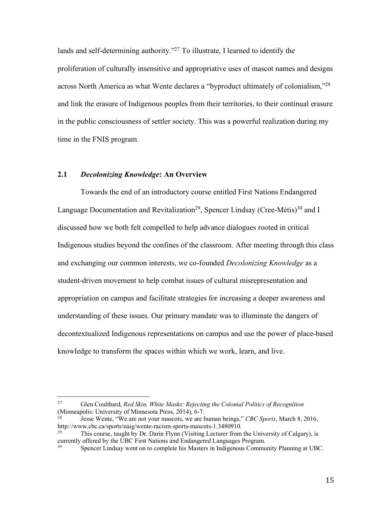lands and self-determining authority."<sup>27</sup> To illustrate, I learned to identify the proliferation of culturally insensitive and appropriative uses of mascot names and designs across North America as what Wente declares a "byproduct ultimately of colonialism,"28 and link the erasure of Indigenous peoples from their territories, to their continual erasure in the public consciousness of settler society. This was a powerful realization during my time in the FNIS program.

#### **2.1** *Decolonizing Knowledge***: An Overview**

Towards the end of an introductory course entitled First Nations Endangered Language Documentation and Revitalization<sup>29</sup>, Spencer Lindsay (Cree-Métis)<sup>30</sup> and I discussed how we both felt compelled to help advance dialogues rooted in critical Indigenous studies beyond the confines of the classroom. After meeting through this class and exchanging our common interests, we co-founded *Decolonizing Knowledge* as a student-driven movement to help combat issues of cultural misrepresentation and appropriation on campus and facilitate strategies for increasing a deeper awareness and understanding of these issues. Our primary mandate was to illuminate the dangers of decontextualized Indigenous representations on campus and use the power of place-based knowledge to transform the spaces within which we work, learn, and live.

 <sup>27</sup> Glen Coulthard, *Red Skin, White Masks: Rejecting the Colonial Politics of Recognition* (Minneapolis: University of Minnesota Press, 2014), 6-7.

Jesse Wente, "We are not your mascots, we are human beings," *CBC Sports*, March 8, 2016, http://www.cbc.ca/sports/naig/wente-racism-sports-mascots-1.3480910.

This course, taught by Dr. Darin Flynn (Visiting Lecturer from the University of Calgary), is currently offered by the UBC First Nations and Endangered Languages Program.

<sup>30</sup> Spencer Lindsay went on to complete his Masters in Indigenous Community Planning at UBC.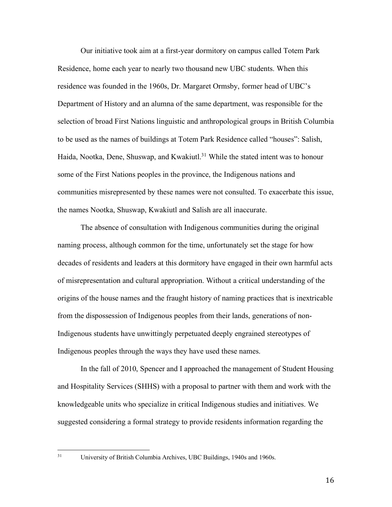Our initiative took aim at a first-year dormitory on campus called Totem Park Residence, home each year to nearly two thousand new UBC students. When this residence was founded in the 1960s, Dr. Margaret Ormsby, former head of UBC's Department of History and an alumna of the same department, was responsible for the selection of broad First Nations linguistic and anthropological groups in British Columbia to be used as the names of buildings at Totem Park Residence called "houses": Salish, Haida, Nootka, Dene, Shuswap, and Kwakiutl.<sup>31</sup> While the stated intent was to honour some of the First Nations peoples in the province, the Indigenous nations and communities misrepresented by these names were not consulted. To exacerbate this issue, the names Nootka, Shuswap, Kwakiutl and Salish are all inaccurate.

The absence of consultation with Indigenous communities during the original naming process, although common for the time, unfortunately set the stage for how decades of residents and leaders at this dormitory have engaged in their own harmful acts of misrepresentation and cultural appropriation. Without a critical understanding of the origins of the house names and the fraught history of naming practices that is inextricable from the dispossession of Indigenous peoples from their lands, generations of non-Indigenous students have unwittingly perpetuated deeply engrained stereotypes of Indigenous peoples through the ways they have used these names.

In the fall of 2010, Spencer and I approached the management of Student Housing and Hospitality Services (SHHS) with a proposal to partner with them and work with the knowledgeable units who specialize in critical Indigenous studies and initiatives. We suggested considering a formal strategy to provide residents information regarding the

 <sup>31</sup> University of British Columbia Archives, UBC Buildings, 1940s and 1960s.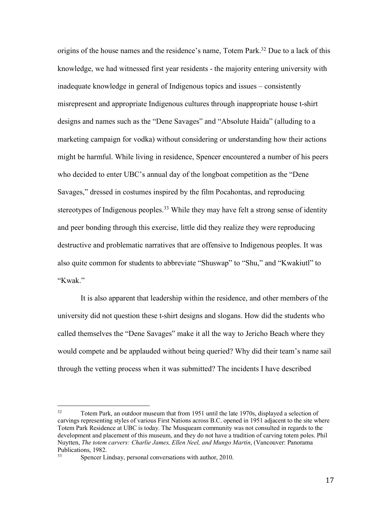origins of the house names and the residence's name, Totem Park.<sup>32</sup> Due to a lack of this knowledge, we had witnessed first year residents - the majority entering university with inadequate knowledge in general of Indigenous topics and issues – consistently misrepresent and appropriate Indigenous cultures through inappropriate house t-shirt designs and names such as the "Dene Savages" and "Absolute Haida" (alluding to a marketing campaign for vodka) without considering or understanding how their actions might be harmful. While living in residence, Spencer encountered a number of his peers who decided to enter UBC's annual day of the longboat competition as the "Dene Savages," dressed in costumes inspired by the film Pocahontas, and reproducing stereotypes of Indigenous peoples.<sup>33</sup> While they may have felt a strong sense of identity and peer bonding through this exercise, little did they realize they were reproducing destructive and problematic narratives that are offensive to Indigenous peoples. It was also quite common for students to abbreviate "Shuswap" to "Shu," and "Kwakiutl" to "Kwak."

It is also apparent that leadership within the residence, and other members of the university did not question these t-shirt designs and slogans. How did the students who called themselves the "Dene Savages" make it all the way to Jericho Beach where they would compete and be applauded without being queried? Why did their team's name sail through the vetting process when it was submitted? The incidents I have described

<sup>&</sup>lt;sup>32</sup> Totem Park, an outdoor museum that from 1951 until the late 1970s, displayed a selection of carvings representing styles of various First Nations across B.C. opened in 1951 adjacent to the site where Totem Park Residence at UBC is today. The Musqueam community was not consulted in regards to the development and placement of this museum, and they do not have a tradition of carving totem poles. Phil Nuytten, *The totem carvers: Charlie James, Ellen Neel, and Mungo Martin*, (Vancouver: Panorama Publications, 1982.

Spencer Lindsay, personal conversations with author, 2010.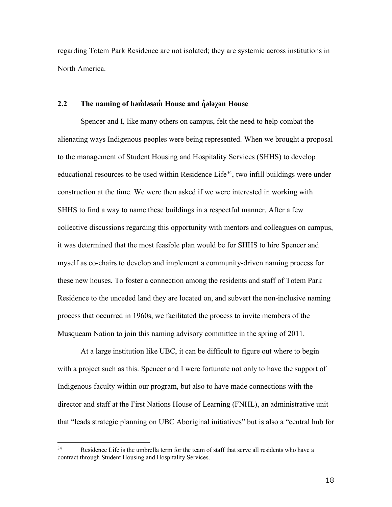regarding Totem Park Residence are not isolated; they are systemic across institutions in North America.

## **2.2 The naming of həm̓ ləsəm̓ House and q̓ələχən House**

Spencer and I, like many others on campus, felt the need to help combat the alienating ways Indigenous peoples were being represented. When we brought a proposal to the management of Student Housing and Hospitality Services (SHHS) to develop educational resources to be used within Residence Life<sup>34</sup>, two infill buildings were under construction at the time. We were then asked if we were interested in working with SHHS to find a way to name these buildings in a respectful manner. After a few collective discussions regarding this opportunity with mentors and colleagues on campus, it was determined that the most feasible plan would be for SHHS to hire Spencer and myself as co-chairs to develop and implement a community-driven naming process for these new houses. To foster a connection among the residents and staff of Totem Park Residence to the unceded land they are located on, and subvert the non-inclusive naming process that occurred in 1960s, we facilitated the process to invite members of the Musqueam Nation to join this naming advisory committee in the spring of 2011.

At a large institution like UBC, it can be difficult to figure out where to begin with a project such as this. Spencer and I were fortunate not only to have the support of Indigenous faculty within our program, but also to have made connections with the director and staff at the First Nations House of Learning (FNHL), an administrative unit that "leads strategic planning on UBC Aboriginal initiatives" but is also a "central hub for

<sup>&</sup>lt;sup>34</sup> Residence Life is the umbrella term for the team of staff that serve all residents who have a contract through Student Housing and Hospitality Services.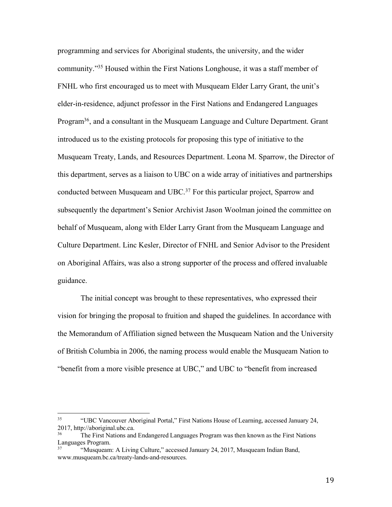programming and services for Aboriginal students, the university, and the wider community."35 Housed within the First Nations Longhouse, it was a staff member of FNHL who first encouraged us to meet with Musqueam Elder Larry Grant, the unit's elder-in-residence, adjunct professor in the First Nations and Endangered Languages Program36, and a consultant in the Musqueam Language and Culture Department. Grant introduced us to the existing protocols for proposing this type of initiative to the Musqueam Treaty, Lands, and Resources Department. Leona M. Sparrow, the Director of this department, serves as a liaison to UBC on a wide array of initiatives and partnerships conducted between Musqueam and UBC.<sup>37</sup> For this particular project, Sparrow and subsequently the department's Senior Archivist Jason Woolman joined the committee on behalf of Musqueam, along with Elder Larry Grant from the Musqueam Language and Culture Department. Linc Kesler, Director of FNHL and Senior Advisor to the President on Aboriginal Affairs, was also a strong supporter of the process and offered invaluable guidance.

The initial concept was brought to these representatives, who expressed their vision for bringing the proposal to fruition and shaped the guidelines. In accordance with the Memorandum of Affiliation signed between the Musqueam Nation and the University of British Columbia in 2006, the naming process would enable the Musqueam Nation to "benefit from a more visible presence at UBC," and UBC to "benefit from increased

 <sup>35</sup> "UBC Vancouver Aboriginal Portal," First Nations House of Learning, accessed January 24, 2017, http://aboriginal.ubc.ca.

The First Nations and Endangered Languages Program was then known as the First Nations Languages Program.

<sup>&</sup>quot;Musqueam: A Living Culture," accessed January 24, 2017, Musqueam Indian Band, www.musqueam.bc.ca/treaty-lands-and-resources.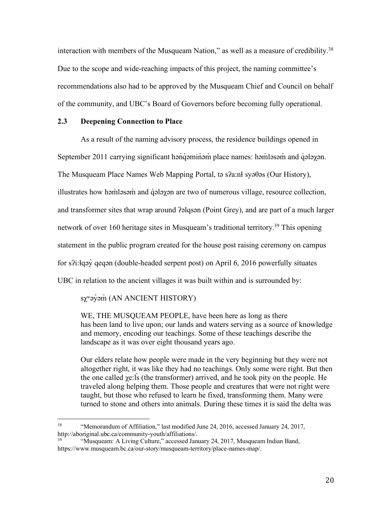interaction with members of the Musqueam Nation," as well as a measure of credibility.<sup>38</sup> Due to the scope and wide-reaching impacts of this project, the naming committee's recommendations also had to be approved by the Musqueam Chief and Council on behalf of the community, and UBC's Board of Governors before becoming fully operational.

## **2.3 Deepening Connection to Place**

As a result of the naming advisory process, the residence buildings opened in September 2011 carrying significant həndəminəm place names: həmləsəm and dələyən. The Musqueam Place Names Web Mapping Portal, tə sʔa:nɬ syəθəs (Our History), illustrates how həmləsəm and qələyən are two of numerous village, resource collection, and transformer sites that wrap around ʔəlqsən (Point Grey), and are part of a much larger network of over 160 heritage sites in Musqueam's traditional territory.<sup>39</sup> This opening statement in the public program created for the house post raising ceremony on campus for sʔi:ɬqəy̓ qeqən (double-headed serpent post) on April 6, 2016 powerfully situates UBC in relation to the ancient villages it was built within and is surrounded by:

sχʷəy̓əm̓ (AN ANCIENT HISTORY)

WE, THE MUSQUEAM PEOPLE, have been here as long as there has been land to live upon; our lands and waters serving as a source of knowledge and memory, encoding our teachings. Some of these teachings describe the landscape as it was over eight thousand years ago.

Our elders relate how people were made in the very beginning but they were not altogether right, it was like they had no teachings. Only some were right. But then the one called χe:l<sup>'s</sup> (the transformer) arrived, and he took pity on the people. He traveled along helping them. Those people and creatures that were not right were taught, but those who refused to learn he fixed, transforming them. Many were turned to stone and others into animals. During these times it is said the delta was

<sup>&</sup>lt;sup>38</sup> "Memorandum of Affiliation," last modified June 24, 2016, accessed January 24, 2017, http://aboriginal.ubc.ca/community-youth/affiliations/.

<sup>&</sup>quot;Musqueam: A Living Culture," accessed January 24, 2017, Musqueam Indian Band, https://www.musqueam.bc.ca/our-story/musqueam-territory/place-names-map/.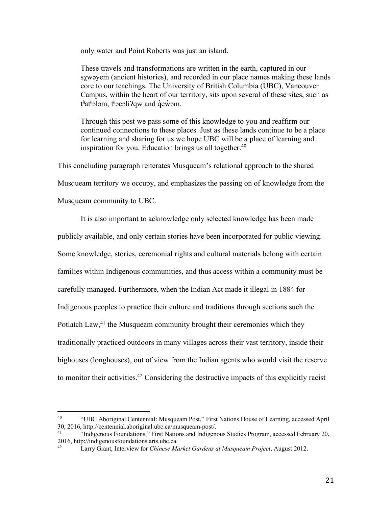only water and Point Roberts was just an island.

These travels and transformations are written in the earth, captured in our sχwəy̓em̓ (ancient histories), and recorded in our place names making these lands core to our teachings. The University of British Columbia (UBC), Vancouver Campus, within the heart of our territory, sits upon several of these sites, such as t<sup>\{*t*}</sup>at<sup>\{}</sup> at<sup>\{}</sup> at<sup>\{}</sup> at<sup>\{}</sup> at\frac{\muthem}\$ details are the the the the the the the t

Through this post we pass some of this knowledge to you and reaffirm our continued connections to these places. Just as these lands continue to be a place for learning and sharing for us we hope UBC will be a place of learning and inspiration for you. Education brings us all together.<sup>40</sup>

This concluding paragraph reiterates Musqueam's relational approach to the shared Musqueam territory we occupy, and emphasizes the passing on of knowledge from the Musqueam community to UBC.

It is also important to acknowledge only selected knowledge has been made publicly available, and only certain stories have been incorporated for public viewing. Some knowledge, stories, ceremonial rights and cultural materials belong with certain families within Indigenous communities, and thus access within a community must be carefully managed. Furthermore, when the Indian Act made it illegal in 1884 for Indigenous peoples to practice their culture and traditions through sections such the Potlatch Law, $41$  the Musqueam community brought their ceremonies which they traditionally practiced outdoors in many villages across their vast territory, inside their bighouses (longhouses), out of view from the Indian agents who would visit the reserve to monitor their activities.<sup>42</sup> Considering the destructive impacts of this explicitly racist

 <sup>40</sup> "UBC Aboriginal Centennial: Musqueam Post," First Nations House of Learning, accessed April 30, 2016, http://centennial.aboriginal.ubc.ca/musqueam-post/.

<sup>41</sup> "Indigenous Foundations," First Nations and Indigenous Studies Program, accessed February 20, 2016, http://indigenousfoundations.arts.ubc.ca.

<sup>42</sup> Larry Grant, Interview for *Chinese Market Gardens at Musqueam Project*, August 2012.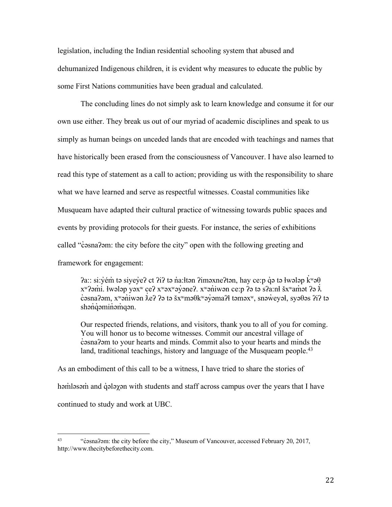legislation, including the Indian residential schooling system that abused and dehumanized Indigenous children, it is evident why measures to educate the public by some First Nations communities have been gradual and calculated.

The concluding lines do not simply ask to learn knowledge and consume it for our own use either. They break us out of our myriad of academic disciplines and speak to us simply as human beings on unceded lands that are encoded with teachings and names that have historically been erased from the consciousness of Vancouver. I have also learned to read this type of statement as a call to action; providing us with the responsibility to share what we have learned and serve as respectful witnesses. Coastal communities like Musqueam have adapted their cultural practice of witnessing towards public spaces and events by providing protocols for their guests. For instance, the series of exhibitions called "c̊asnaʔəm: the city before the city" open with the following greeting and framework for engagement:

 $2a$ :: si: $\check{y}$ ém̓ tə siye $\check{y}$ e? ct  $2i$ ? tə n̊a:łtən ?iməxne?tən, hay ce:p q̊ə tə łwələp k̊<sup>w</sup>ə $\theta$  $x^w$ ?əmı. łwələp yə $x^w$  ce?  $x^w$ ə $x^w$ əyəne?.  $x^w$ əniwən ce:p ?ə tə s?a:nł š $x^w$ amət ?ə  $\lambda$ ̓ c̓əsnaʔəm, xʷən̓iwən ƛ eʔ ʔə tə šxʷməθkʷəy̓əmaʔɬ təməxʷ, snəw̓ eyəɬ, syəθəs ʔiʔ tə ̓ shənq aminamqan.

Our respected friends, relations, and visitors, thank you to all of you for coming. You will honor us to become witnesses. Commit our ancestral village of c̓əsnaʔəm to your hearts and minds. Commit also to your hearts and minds the land, traditional teachings, history and language of the Musqueam people.<sup>43</sup>

As an embodiment of this call to be a witness, I have tried to share the stories of həmləsəm and qələyən with students and staff across campus over the years that I have continued to study and work at UBC.

 $\overline{a}$ 

<sup>&</sup>lt;sup>43</sup> "c<sup>2</sup>osna?>m: the city before the city," Museum of Vancouver, accessed February 20, 2017, http://www.thecitybeforethecity.com.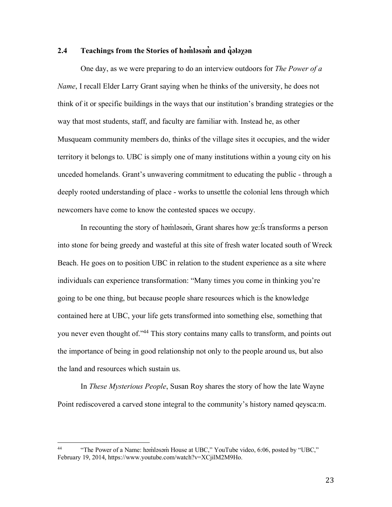## **2.4 Teachings from the Stories of həm̓ ləsəm̓ and q̓ələχən**

One day, as we were preparing to do an interview outdoors for *The Power of a Name*, I recall Elder Larry Grant saying when he thinks of the university, he does not think of it or specific buildings in the ways that our institution's branding strategies or the way that most students, staff, and faculty are familiar with. Instead he, as other Musqueam community members do, thinks of the village sites it occupies, and the wider territory it belongs to. UBC is simply one of many institutions within a young city on his unceded homelands. Grant's unwavering commitment to educating the public - through a deeply rooted understanding of place - works to unsettle the colonial lens through which newcomers have come to know the contested spaces we occupy.

In recounting the story of həm̓ləsəm̓, Grant shares how χe:ls transforms a person into stone for being greedy and wasteful at this site of fresh water located south of Wreck Beach. He goes on to position UBC in relation to the student experience as a site where individuals can experience transformation: "Many times you come in thinking you're going to be one thing, but because people share resources which is the knowledge contained here at UBC, your life gets transformed into something else, something that you never even thought of."<sup>44</sup> This story contains many calls to transform, and points out the importance of being in good relationship not only to the people around us, but also the land and resources which sustain us.

In *These Mysterious People*, Susan Roy shares the story of how the late Wayne Point rediscovered a carved stone integral to the community's history named qeysca:m.

<sup>&</sup>lt;sup>44</sup> "The Power of a Name: həm̓ləsəm̓ House at UBC," YouTube video, 6:06, posted by "UBC," February 19, 2014, https://www.youtube.com/watch?v=XCjilM2M9Ho.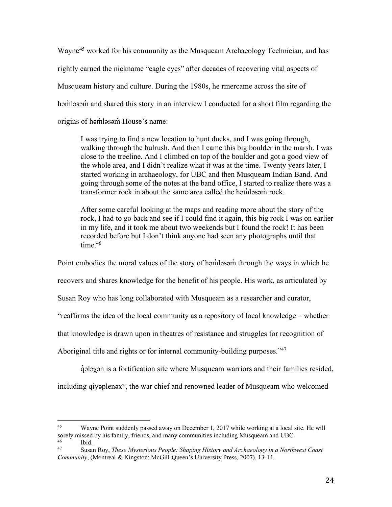Wayne<sup>45</sup> worked for his community as the Musqueam Archaeology Technician, and has rightly earned the nickname "eagle eyes" after decades of recovering vital aspects of Musqueam history and culture. During the 1980s, he rmercame across the site of həmləsəm and shared this story in an interview I conducted for a short film regarding the origins of həmləsəm House's name:

I was trying to find a new location to hunt ducks, and I was going through, walking through the bulrush. And then I came this big boulder in the marsh. I was close to the treeline. And I climbed on top of the boulder and got a good view of the whole area, and I didn't realize what it was at the time. Twenty years later, I started working in archaeology, for UBC and then Musqueam Indian Band. And going through some of the notes at the band office, I started to realize there was a transformer rock in about the same area called the həm๋ləsəm rock.

After some careful looking at the maps and reading more about the story of the rock, I had to go back and see if I could find it again, this big rock I was on earlier in my life, and it took me about two weekends but I found the rock! It has been recorded before but I don't think anyone had seen any photographs until that time.<sup>46</sup>

Point embodies the moral values of the story of həmləsəm through the ways in which he

recovers and shares knowledge for the benefit of his people. His work, as articulated by

Susan Roy who has long collaborated with Musqueam as a researcher and curator,

"reaffirms the idea of the local community as a repository of local knowledge – whether

that knowledge is drawn upon in theatres of resistance and struggles for recognition of

Aboriginal title and rights or for internal community-building purposes."<sup>47</sup>

q̓ ələχən is a fortification site where Musqueam warriors and their families resided,

including qiyəplenəxʷ, the war chief and renowned leader of Musqueam who welcomed

<sup>&</sup>lt;sup>45</sup> Wayne Point suddenly passed away on December 1, 2017 while working at a local site. He will sorely missed by his family, friends, and many communities including Musqueam and UBC.  $\frac{46}{47}$  Ibid.

<sup>47</sup> Susan Roy, *These Mysterious People: Shaping History and Archaeology in a Northwest Coast Community*, (Montreal & Kingston: McGill-Queen's University Press, 2007), 13-14.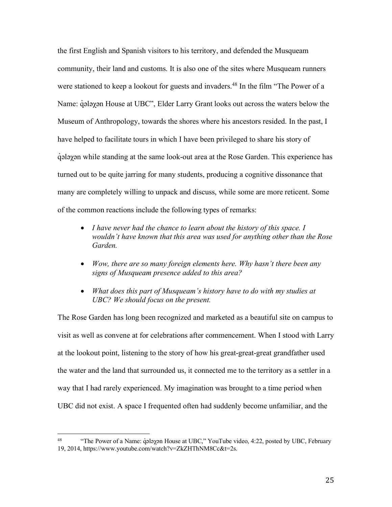the first English and Spanish visitors to his territory, and defended the Musqueam community, their land and customs. It is also one of the sites where Musqueam runners were stationed to keep a lookout for guests and invaders.<sup>48</sup> In the film "The Power of a Name: q̂alayan House at UBC", Elder Larry Grant looks out across the waters below the Museum of Anthropology, towards the shores where his ancestors resided. In the past, I have helped to facilitate tours in which I have been privileged to share his story of q̓ ələχən while standing at the same look-out area at the Rose Garden. This experience has turned out to be quite jarring for many students, producing a cognitive dissonance that many are completely willing to unpack and discuss, while some are more reticent. Some of the common reactions include the following types of remarks:

- *I have never had the chance to learn about the history of this space. I wouldn't have known that this area was used for anything other than the Rose Garden.*
- *Wow, there are so many foreign elements here. Why hasn't there been any signs of Musqueam presence added to this area?*
- *What does this part of Musqueam's history have to do with my studies at UBC? We should focus on the present.*

The Rose Garden has long been recognized and marketed as a beautiful site on campus to visit as well as convene at for celebrations after commencement. When I stood with Larry at the lookout point, listening to the story of how his great-great-great grandfather used the water and the land that surrounded us, it connected me to the territory as a settler in a way that I had rarely experienced. My imagination was brought to a time period when UBC did not exist. A space I frequented often had suddenly become unfamiliar, and the

<sup>&</sup>lt;sup>48</sup> "The Power of a Name: q̓ələχən House at UBC," YouTube video, 4:22, posted by UBC, February 19, 2014, https://www.youtube.com/watch?v=ZkZHThNM8Cc&t=2s.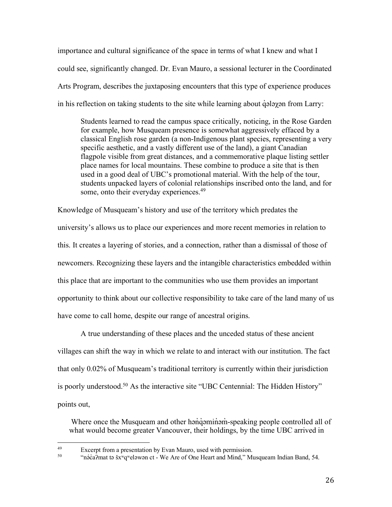importance and cultural significance of the space in terms of what I knew and what I could see, significantly changed. Dr. Evan Mauro, a sessional lecturer in the Coordinated Arts Program, describes the juxtaposing encounters that this type of experience produces in his reflection on taking students to the site while learning about *q*⋅ alay an from Larry:

Students learned to read the campus space critically, noticing, in the Rose Garden for example, how Musqueam presence is somewhat aggressively effaced by a classical English rose garden (a non-Indigenous plant species, representing a very specific aesthetic, and a vastly different use of the land), a giant Canadian flagpole visible from great distances, and a commemorative plaque listing settler place names for local mountains. These combine to produce a site that is then used in a good deal of UBC's promotional material. With the help of the tour, students unpacked layers of colonial relationships inscribed onto the land, and for some, onto their everyday experiences.<sup>49</sup>

Knowledge of Musqueam's history and use of the territory which predates the university's allows us to place our experiences and more recent memories in relation to this. It creates a layering of stories, and a connection, rather than a dismissal of those of newcomers. Recognizing these layers and the intangible characteristics embedded within this place that are important to the communities who use them provides an important opportunity to think about our collective responsibility to take care of the land many of us have come to call home, despite our range of ancestral origins.

A true understanding of these places and the unceded status of these ancient villages can shift the way in which we relate to and interact with our institution. The fact that only 0.02% of Musqueam's traditional territory is currently within their jurisdiction is poorly understood. <sup>50</sup> As the interactive site "UBC Centennial: The Hidden History" points out,

Where once the Musqueam and other hanque aming speaking people controlled all of what would become greater Vancouver, their holdings, by the time UBC arrived in

Excerpt from a presentation by Evan Mauro, used with permission.<br>
"nə́caʔmat tə šxʷqʷeləwən ct - We Are of One Heart and Mind," Musqueam Indian Band, 54.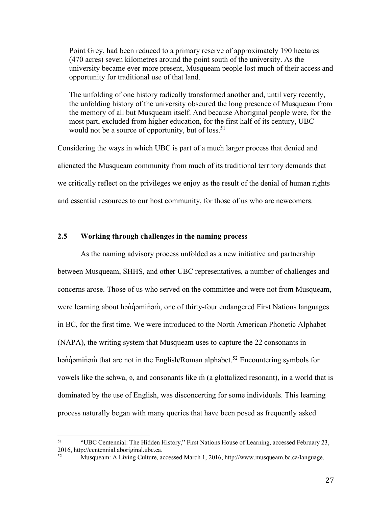Point Grey, had been reduced to a primary reserve of approximately 190 hectares (470 acres) seven kilometres around the point south of the university. As the university became ever more present, Musqueam people lost much of their access and opportunity for traditional use of that land.

The unfolding of one history radically transformed another and, until very recently, the unfolding history of the university obscured the long presence of Musqueam from the memory of all but Musqueam itself. And because Aboriginal people were, for the most part, excluded from higher education, for the first half of its century, UBC would not be a source of opportunity, but of loss.<sup>51</sup>

Considering the ways in which UBC is part of a much larger process that denied and alienated the Musqueam community from much of its traditional territory demands that we critically reflect on the privileges we enjoy as the result of the denial of human rights and essential resources to our host community, for those of us who are newcomers.

# **2.5 Working through challenges in the naming process**

As the naming advisory process unfolded as a new initiative and partnership between Musqueam, SHHS, and other UBC representatives, a number of challenges and concerns arose. Those of us who served on the committee and were not from Musqueam, were learning about hənɑ́əmin̊əm̓, one of thirty-four endangered First Nations languages in BC, for the first time. We were introduced to the North American Phonetic Alphabet (NAPA), the writing system that Musqueam uses to capture the 22 consonants in hən $\dot{q}$  əminəm that are not in the English/Roman alphabet.<sup>52</sup> Encountering symbols for vowels like the schwa,  $\varphi$ , and consonants like m (a glottalized resonant), in a world that is dominated by the use of English, was disconcerting for some individuals. This learning process naturally began with many queries that have been posed as frequently asked

 <sup>51</sup> "UBC Centennial: The Hidden History," First Nations House of Learning, accessed February 23, 2016, http://centennial.aboriginal.ubc.ca.<br> $2016$ , http://centennial.aboriginal.ubc.ca.

<sup>52</sup> Musqueam: A Living Culture, accessed March 1, 2016, http://www.musqueam.bc.ca/language.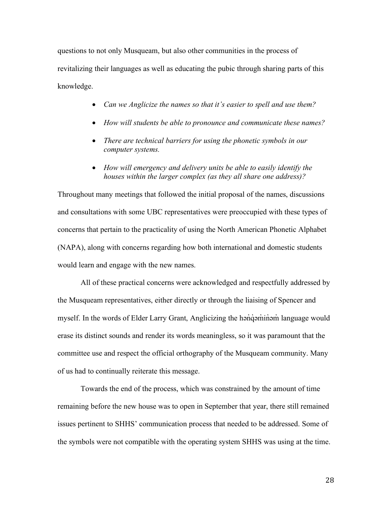questions to not only Musqueam, but also other communities in the process of revitalizing their languages as well as educating the pubic through sharing parts of this knowledge.

- *Can we Anglicize the names so that it's easier to spell and use them?*
- *How will students be able to pronounce and communicate these names?*
- *There are technical barriers for using the phonetic symbols in our computer systems.*
- *How will emergency and delivery units be able to easily identify the houses within the larger complex (as they all share one address)?*

Throughout many meetings that followed the initial proposal of the names, discussions and consultations with some UBC representatives were preoccupied with these types of concerns that pertain to the practicality of using the North American Phonetic Alphabet (NAPA), along with concerns regarding how both international and domestic students would learn and engage with the new names.

All of these practical concerns were acknowledged and respectfully addressed by the Musqueam representatives, either directly or through the liaising of Spencer and myself. In the words of Elder Larry Grant, Anglicizing the hənqəminəm language would erase its distinct sounds and render its words meaningless, so it was paramount that the committee use and respect the official orthography of the Musqueam community. Many of us had to continually reiterate this message.

Towards the end of the process, which was constrained by the amount of time remaining before the new house was to open in September that year, there still remained issues pertinent to SHHS' communication process that needed to be addressed. Some of the symbols were not compatible with the operating system SHHS was using at the time.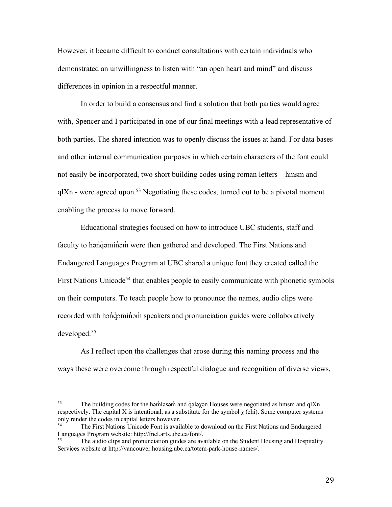However, it became difficult to conduct consultations with certain individuals who demonstrated an unwillingness to listen with "an open heart and mind" and discuss differences in opinion in a respectful manner.

In order to build a consensus and find a solution that both parties would agree with, Spencer and I participated in one of our final meetings with a lead representative of both parties. The shared intention was to openly discuss the issues at hand. For data bases and other internal communication purposes in which certain characters of the font could not easily be incorporated, two short building codes using roman letters – hmsm and  $q$ IXn - were agreed upon.<sup>53</sup> Negotiating these codes, turned out to be a pivotal moment enabling the process to move forward.

Educational strategies focused on how to introduce UBC students, staff and faculty to hənqəminəm were then gathered and developed. The First Nations and Endangered Languages Program at UBC shared a unique font they created called the First Nations Unicode<sup>54</sup> that enables people to easily communicate with phonetic symbols on their computers. To teach people how to pronounce the names, audio clips were recorded with han'd aminam speakers and pronunciation guides were collaboratively developed.55

As I reflect upon the challenges that arose during this naming process and the ways these were overcome through respectful dialogue and recognition of diverse views,

 $53$  The building codes for the həm๋ləsəm and q̊ələχən Houses were negotiated as hmsm and qlXn respectively. The capital X is intentional, as a substitute for the symbol  $\chi$  (chi). Some computer systems only render the codes in capital letters however.

The First Nations Unicode Font is available to download on the First Nations and Endangered Languages Program website: http://fnel.arts.ubc.ca/font/ $\frac{1}{255}$ . The audio clins and pronunciation guides are avail-

<sup>55</sup> The audio clips and pronunciation guides are available on the Student Housing and Hospitality Services website at http://vancouver.housing.ubc.ca/totem-park-house-names/.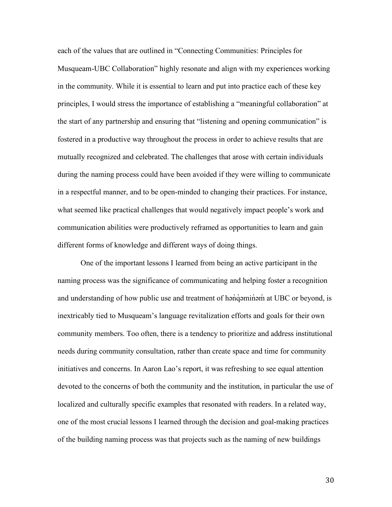each of the values that are outlined in "Connecting Communities: Principles for Musqueam-UBC Collaboration" highly resonate and align with my experiences working in the community. While it is essential to learn and put into practice each of these key principles, I would stress the importance of establishing a "meaningful collaboration" at the start of any partnership and ensuring that "listening and opening communication" is fostered in a productive way throughout the process in order to achieve results that are mutually recognized and celebrated. The challenges that arose with certain individuals during the naming process could have been avoided if they were willing to communicate in a respectful manner, and to be open-minded to changing their practices. For instance, what seemed like practical challenges that would negatively impact people's work and communication abilities were productively reframed as opportunities to learn and gain different forms of knowledge and different ways of doing things.

One of the important lessons I learned from being an active participant in the naming process was the significance of communicating and helping foster a recognition and understanding of how public use and treatment of hand  $q$  and at UBC or beyond, is inextricably tied to Musqueam's language revitalization efforts and goals for their own community members. Too often, there is a tendency to prioritize and address institutional needs during community consultation, rather than create space and time for community initiatives and concerns. In Aaron Lao's report, it was refreshing to see equal attention devoted to the concerns of both the community and the institution, in particular the use of localized and culturally specific examples that resonated with readers. In a related way, one of the most crucial lessons I learned through the decision and goal-making practices of the building naming process was that projects such as the naming of new buildings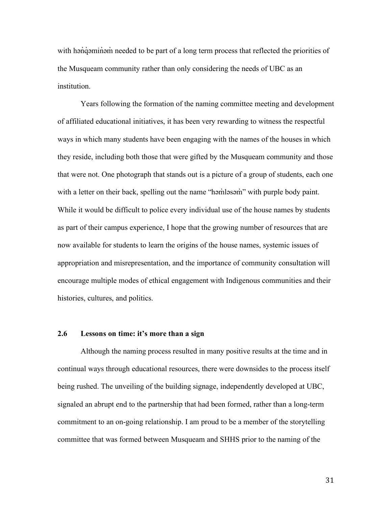with han`qaminam needed to be part of a long term process that reflected the priorities of the Musqueam community rather than only considering the needs of UBC as an institution.

Years following the formation of the naming committee meeting and development of affiliated educational initiatives, it has been very rewarding to witness the respectful ways in which many students have been engaging with the names of the houses in which they reside, including both those that were gifted by the Musqueam community and those that were not. One photograph that stands out is a picture of a group of students, each one with a letter on their back, spelling out the name "həmləsəm" with purple body paint. While it would be difficult to police every individual use of the house names by students as part of their campus experience, I hope that the growing number of resources that are now available for students to learn the origins of the house names, systemic issues of appropriation and misrepresentation, and the importance of community consultation will encourage multiple modes of ethical engagement with Indigenous communities and their histories, cultures, and politics.

#### **2.6 Lessons on time: it's more than a sign**

Although the naming process resulted in many positive results at the time and in continual ways through educational resources, there were downsides to the process itself being rushed. The unveiling of the building signage, independently developed at UBC, signaled an abrupt end to the partnership that had been formed, rather than a long-term commitment to an on-going relationship. I am proud to be a member of the storytelling committee that was formed between Musqueam and SHHS prior to the naming of the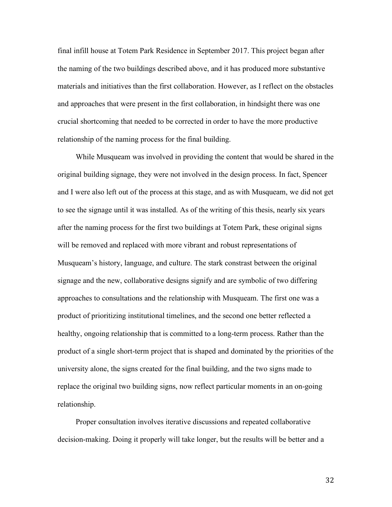final infill house at Totem Park Residence in September 2017. This project began after the naming of the two buildings described above, and it has produced more substantive materials and initiatives than the first collaboration. However, as I reflect on the obstacles and approaches that were present in the first collaboration, in hindsight there was one crucial shortcoming that needed to be corrected in order to have the more productive relationship of the naming process for the final building.

While Musqueam was involved in providing the content that would be shared in the original building signage, they were not involved in the design process. In fact, Spencer and I were also left out of the process at this stage, and as with Musqueam, we did not get to see the signage until it was installed. As of the writing of this thesis, nearly six years after the naming process for the first two buildings at Totem Park, these original signs will be removed and replaced with more vibrant and robust representations of Musqueam's history, language, and culture. The stark constrast between the original signage and the new, collaborative designs signify and are symbolic of two differing approaches to consultations and the relationship with Musqueam. The first one was a product of prioritizing institutional timelines, and the second one better reflected a healthy, ongoing relationship that is committed to a long-term process. Rather than the product of a single short-term project that is shaped and dominated by the priorities of the university alone, the signs created for the final building, and the two signs made to replace the original two building signs, now reflect particular moments in an on-going relationship.

Proper consultation involves iterative discussions and repeated collaborative decision-making. Doing it properly will take longer, but the results will be better and a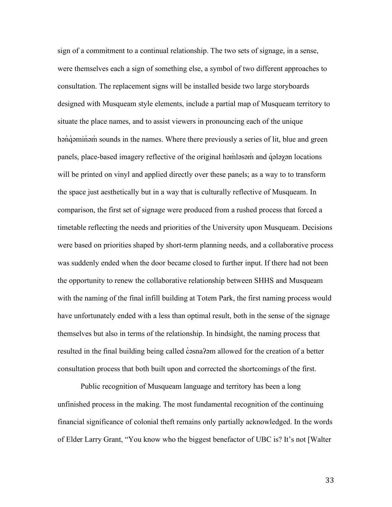sign of a commitment to a continual relationship. The two sets of signage, in a sense, were themselves each a sign of something else, a symbol of two different approaches to consultation. The replacement signs will be installed beside two large storyboards designed with Musqueam style elements, include a partial map of Musqueam territory to situate the place names, and to assist viewers in pronouncing each of the unique hən q əmin in sounds in the names. Where there previously a series of lit, blue and green panels, place-based imagery reflective of the original həm̓ ləsəm̓ and q̓ ələχən locations will be printed on vinyl and applied directly over these panels; as a way to to transform the space just aesthetically but in a way that is culturally reflective of Musqueam. In comparison, the first set of signage were produced from a rushed process that forced a timetable reflecting the needs and priorities of the University upon Musqueam. Decisions were based on priorities shaped by short-term planning needs, and a collaborative process was suddenly ended when the door became closed to further input. If there had not been the opportunity to renew the collaborative relationship between SHHS and Musqueam with the naming of the final infill building at Totem Park, the first naming process would have unfortunately ended with a less than optimal result, both in the sense of the signage themselves but also in terms of the relationship. In hindsight, the naming process that resulted in the final building being called c esna? am allowed for the creation of a better consultation process that both built upon and corrected the shortcomings of the first.

Public recognition of Musqueam language and territory has been a long unfinished process in the making. The most fundamental recognition of the continuing financial significance of colonial theft remains only partially acknowledged. In the words of Elder Larry Grant, "You know who the biggest benefactor of UBC is? It's not [Walter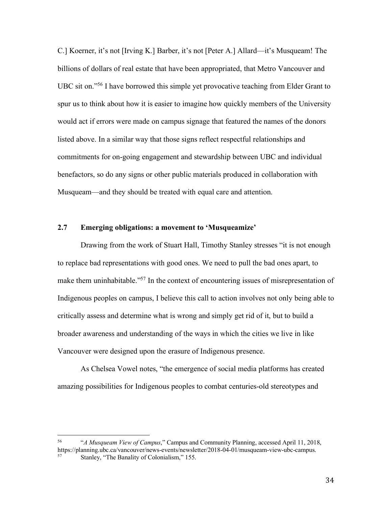C.] Koerner, it's not [Irving K.] Barber, it's not [Peter A.] Allard—it's Musqueam! The billions of dollars of real estate that have been appropriated, that Metro Vancouver and UBC sit on."56 I have borrowed this simple yet provocative teaching from Elder Grant to spur us to think about how it is easier to imagine how quickly members of the University would act if errors were made on campus signage that featured the names of the donors listed above. In a similar way that those signs reflect respectful relationships and commitments for on-going engagement and stewardship between UBC and individual benefactors, so do any signs or other public materials produced in collaboration with Musqueam—and they should be treated with equal care and attention.

# **2.7 Emerging obligations: a movement to 'Musqueamize'**

Drawing from the work of Stuart Hall, Timothy Stanley stresses "it is not enough to replace bad representations with good ones. We need to pull the bad ones apart, to make them uninhabitable."57 In the context of encountering issues of misrepresentation of Indigenous peoples on campus, I believe this call to action involves not only being able to critically assess and determine what is wrong and simply get rid of it, but to build a broader awareness and understanding of the ways in which the cities we live in like Vancouver were designed upon the erasure of Indigenous presence.

As Chelsea Vowel notes, "the emergence of social media platforms has created amazing possibilities for Indigenous peoples to combat centuries-old stereotypes and

 <sup>56</sup> "*A Musqueam View of Campus*," Campus and Community Planning, accessed April 11, 2018, https://planning.ubc.ca/vancouver/news-events/newsletter/2018-04-01/musqueam-view-ubc-campus. Stanley, "The Banality of Colonialism," 155.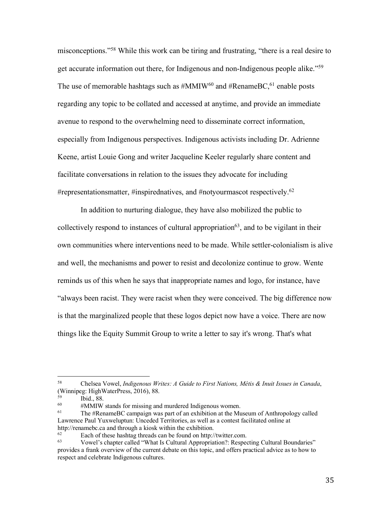misconceptions."58 While this work can be tiring and frustrating, "there is a real desire to get accurate information out there, for Indigenous and non-Indigenous people alike."59 The use of memorable hashtags such as  $\#MMIW^{60}$  and  $\#Rename BC$ <sup>61</sup>, enable posts regarding any topic to be collated and accessed at anytime, and provide an immediate avenue to respond to the overwhelming need to disseminate correct information, especially from Indigenous perspectives. Indigenous activists including Dr. Adrienne Keene, artist Louie Gong and writer Jacqueline Keeler regularly share content and facilitate conversations in relation to the issues they advocate for including #representationsmatter, #inspirednatives, and #notyourmascot respectively.<sup>62</sup>

In addition to nurturing dialogue, they have also mobilized the public to collectively respond to instances of cultural appropriation<sup>63</sup>, and to be vigilant in their own communities where interventions need to be made. While settler-colonialism is alive and well, the mechanisms and power to resist and decolonize continue to grow. Wente reminds us of this when he says that inappropriate names and logo, for instance, have "always been racist. They were racist when they were conceived. The big difference now is that the marginalized people that these logos depict now have a voice. There are now things like the Equity Summit Group to write a letter to say it's wrong. That's what

 <sup>58</sup> Chelsea Vowel, *Indigenous Writes: A Guide to First Nations, Métis & Inuit Issues in Canada*, (Winnipeg: HighWaterPress, 2016), 88.

 $^{59}$  Ibid., 88.

<sup>&</sup>lt;sup>60</sup> #MMIW stands for missing and murdered Indigenous women.<br><sup>61</sup> The #RenameBC campaign was part of an exhibition at the Museum of Anthropology called Lawrence Paul Yuxweluptun: Unceded Territories, as well as a contest facilitated online at http://renamebc.ca and through a kiosk within the exhibition.<br><sup>62</sup> Each of these healtes through an he found on http:/

 $\frac{62}{63}$  Each of these hashtag threads can be found on http://twitter.com.

<sup>63</sup> Vowel's chapter called "What Is Cultural Appropriation?: Respecting Cultural Boundaries" provides a frank overview of the current debate on this topic, and offers practical advice as to how to respect and celebrate Indigenous cultures.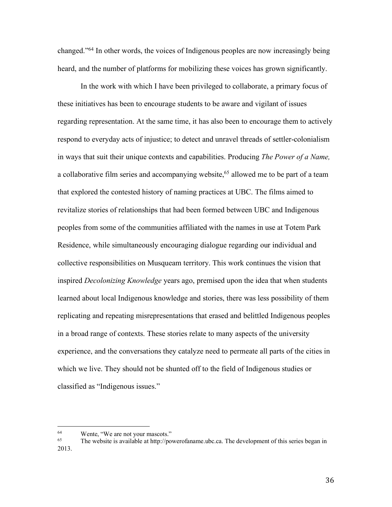changed."64 In other words, the voices of Indigenous peoples are now increasingly being heard, and the number of platforms for mobilizing these voices has grown significantly.

In the work with which I have been privileged to collaborate, a primary focus of these initiatives has been to encourage students to be aware and vigilant of issues regarding representation. At the same time, it has also been to encourage them to actively respond to everyday acts of injustice; to detect and unravel threads of settler-colonialism in ways that suit their unique contexts and capabilities. Producing *The Power of a Name,* a collaborative film series and accompanying website, <sup>65</sup> allowed me to be part of a team that explored the contested history of naming practices at UBC. The films aimed to revitalize stories of relationships that had been formed between UBC and Indigenous peoples from some of the communities affiliated with the names in use at Totem Park Residence, while simultaneously encouraging dialogue regarding our individual and collective responsibilities on Musqueam territory. This work continues the vision that inspired *Decolonizing Knowledge* years ago, premised upon the idea that when students learned about local Indigenous knowledge and stories, there was less possibility of them replicating and repeating misrepresentations that erased and belittled Indigenous peoples in a broad range of contexts. These stories relate to many aspects of the university experience, and the conversations they catalyze need to permeate all parts of the cities in which we live. They should not be shunted off to the field of Indigenous studies or classified as "Indigenous issues."

<sup>&</sup>lt;sup>64</sup> Wente, "We are not your mascots."<br>
The website is available at http://po

The website is available at http://powerofaname.ubc.ca. The development of this series began in 2013.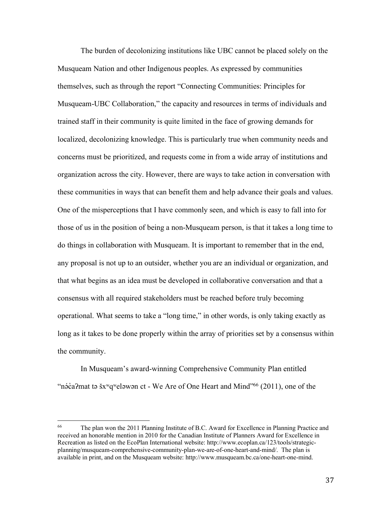The burden of decolonizing institutions like UBC cannot be placed solely on the Musqueam Nation and other Indigenous peoples. As expressed by communities themselves, such as through the report "Connecting Communities: Principles for Musqueam-UBC Collaboration," the capacity and resources in terms of individuals and trained staff in their community is quite limited in the face of growing demands for localized, decolonizing knowledge. This is particularly true when community needs and concerns must be prioritized, and requests come in from a wide array of institutions and organization across the city. However, there are ways to take action in conversation with these communities in ways that can benefit them and help advance their goals and values. One of the misperceptions that I have commonly seen, and which is easy to fall into for those of us in the position of being a non-Musqueam person, is that it takes a long time to do things in collaboration with Musqueam. It is important to remember that in the end, any proposal is not up to an outsider, whether you are an individual or organization, and that what begins as an idea must be developed in collaborative conversation and that a consensus with all required stakeholders must be reached before truly becoming operational. What seems to take a "long time," in other words, is only taking exactly as long as it takes to be done properly within the array of priorities set by a consensus within the community.

In Musqueam's award-winning Comprehensive Community Plan entitled "nə́ c̓aʔmat tə šxʷqʷeləwən ct - We Are of One Heart and Mind"66 (2011), one of the

 <sup>66</sup> The plan won the 2011 Planning Institute of B.C. Award for Excellence in Planning Practice and received an honorable mention in 2010 for the Canadian Institute of Planners Award for Excellence in Recreation as listed on the EcoPlan International website: http://www.ecoplan.ca/123/tools/strategicplanning/musqueam-comprehensive-community-plan-we-are-of-one-heart-and-mind/. The plan is available in print, and on the Musqueam website: http://www.musqueam.bc.ca/one-heart-one-mind.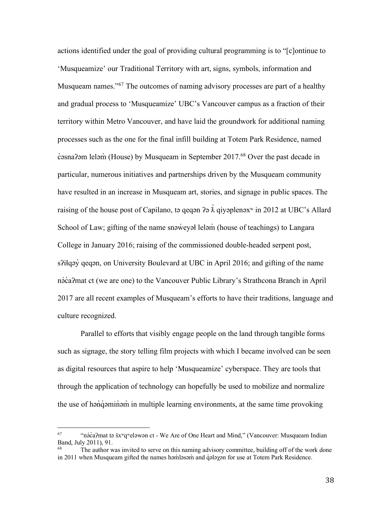actions identified under the goal of providing cultural programming is to "[c]ontinue to 'Musqueamize' our Traditional Territory with art, signs, symbols, information and Musqueam names."67 The outcomes of naming advisory processes are part of a healthy and gradual process to 'Musqueamize' UBC's Vancouver campus as a fraction of their territory within Metro Vancouver, and have laid the groundwork for additional naming processes such as the one for the final infill building at Totem Park Residence, named c̓əsnaʔəm leləm̓ (House) by Musqueam in September 2017. <sup>68</sup> Over the past decade in particular, numerous initiatives and partnerships driven by the Musqueam community have resulted in an increase in Musqueam art, stories, and signage in public spaces. The raising of the house post of Capilano, tə qeqən ?ə  $\dot{\lambda}$  qiyəplenəx<sup>w</sup> in 2012 at UBC's Allard School of Law; gifting of the name snəweyəl leləm (house of teachings) to Langara College in January 2016; raising of the commissioned double-headed serpent post, s?ilgəy gegən, on University Boulevard at UBC in April 2016; and gifting of the name nə́ c̓aʔmat ct (we are one) to the Vancouver Public Library's Strathcona Branch in April 2017 are all recent examples of Musqueam's efforts to have their traditions, language and culture recognized.

Parallel to efforts that visibly engage people on the land through tangible forms such as signage, the story telling film projects with which I became involved can be seen as digital resources that aspire to help 'Musqueamize' cyberspace. They are tools that through the application of technology can hopefully be used to mobilize and normalize the use of hən̓q̓ əmin̓ əm̓ in multiple learning environments, at the same time provoking

 <sup>67</sup> "nə́ c̓aʔmat tə šxʷqʷeləwən ct - We Are of One Heart and Mind," (Vancouver: Musqueam Indian Band, July 2011), 91.

The author was invited to serve on this naming advisory committee, building off of the work done in 2011 when Musqueam gifted the names həmləsəm and qələyən for use at Totem Park Residence.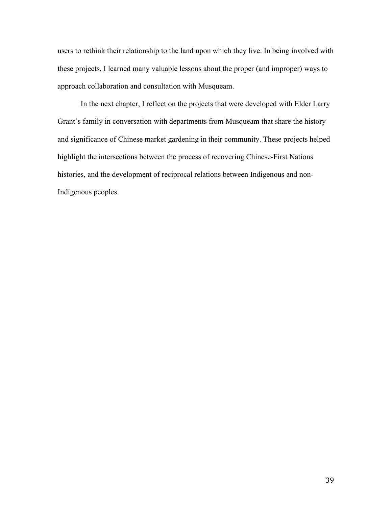users to rethink their relationship to the land upon which they live. In being involved with these projects, I learned many valuable lessons about the proper (and improper) ways to approach collaboration and consultation with Musqueam.

In the next chapter, I reflect on the projects that were developed with Elder Larry Grant's family in conversation with departments from Musqueam that share the history and significance of Chinese market gardening in their community. These projects helped highlight the intersections between the process of recovering Chinese-First Nations histories, and the development of reciprocal relations between Indigenous and non-Indigenous peoples.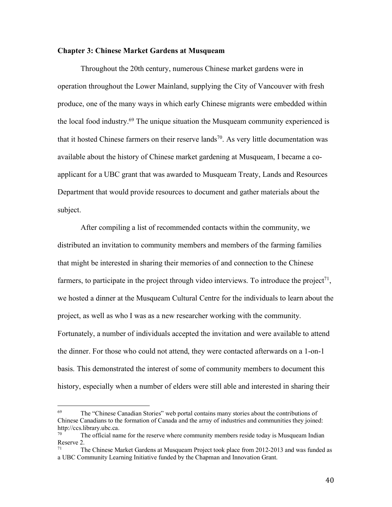### **Chapter 3: Chinese Market Gardens at Musqueam**

Throughout the 20th century, numerous Chinese market gardens were in operation throughout the Lower Mainland, supplying the City of Vancouver with fresh produce, one of the many ways in which early Chinese migrants were embedded within the local food industry.69 The unique situation the Musqueam community experienced is that it hosted Chinese farmers on their reserve lands<sup>70</sup>. As very little documentation was available about the history of Chinese market gardening at Musqueam, I became a coapplicant for a UBC grant that was awarded to Musqueam Treaty, Lands and Resources Department that would provide resources to document and gather materials about the subject.

After compiling a list of recommended contacts within the community, we distributed an invitation to community members and members of the farming families that might be interested in sharing their memories of and connection to the Chinese farmers, to participate in the project through video interviews. To introduce the project<sup>71</sup>, we hosted a dinner at the Musqueam Cultural Centre for the individuals to learn about the project, as well as who I was as a new researcher working with the community. Fortunately, a number of individuals accepted the invitation and were available to attend the dinner. For those who could not attend, they were contacted afterwards on a 1-on-1 basis. This demonstrated the interest of some of community members to document this history, especially when a number of elders were still able and interested in sharing their

 $69$  The "Chinese Canadian Stories" web portal contains many stories about the contributions of Chinese Canadians to the formation of Canada and the array of industries and communities they joined: http://ccs.library.ubc.ca.

The official name for the reserve where community members reside today is Musqueam Indian Reserve 2.

The Chinese Market Gardens at Musqueam Project took place from 2012-2013 and was funded as a UBC Community Learning Initiative funded by the Chapman and Innovation Grant.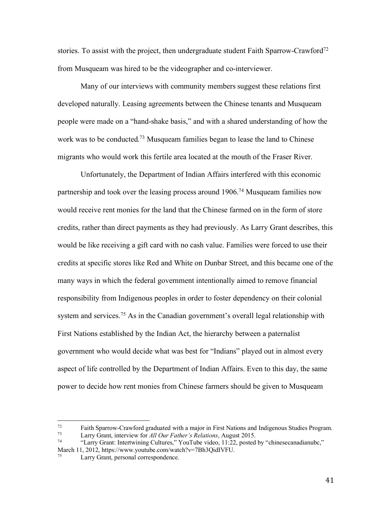stories. To assist with the project, then undergraduate student Faith Sparrow-Crawford<sup>72</sup> from Musqueam was hired to be the videographer and co-interviewer.

Many of our interviews with community members suggest these relations first developed naturally. Leasing agreements between the Chinese tenants and Musqueam people were made on a "hand-shake basis," and with a shared understanding of how the work was to be conducted.<sup>73</sup> Musqueam families began to lease the land to Chinese migrants who would work this fertile area located at the mouth of the Fraser River.

Unfortunately, the Department of Indian Affairs interfered with this economic partnership and took over the leasing process around 1906.<sup>74</sup> Musqueam families now would receive rent monies for the land that the Chinese farmed on in the form of store credits, rather than direct payments as they had previously. As Larry Grant describes, this would be like receiving a gift card with no cash value. Families were forced to use their credits at specific stores like Red and White on Dunbar Street, and this became one of the many ways in which the federal government intentionally aimed to remove financial responsibility from Indigenous peoples in order to foster dependency on their colonial system and services.<sup>75</sup> As in the Canadian government's overall legal relationship with First Nations established by the Indian Act, the hierarchy between a paternalist government who would decide what was best for "Indians" played out in almost every aspect of life controlled by the Department of Indian Affairs. Even to this day, the same power to decide how rent monies from Chinese farmers should be given to Musqueam

Faith Sparrow-Crawford graduated with a major in First Nations and Indigenous Studies Program.<br>
Larry Grant, interview for *All Our Father's Relations*, August 2015.<br>
<sup>74</sup> Clarry Grant: Intertwining Cultures <sup>22</sup> YouTube v

<sup>&</sup>quot;Larry Grant: Intertwining Cultures," YouTube video, 11:22, posted by "chinesecanadianubc," March 11, 2012, https://www.youtube.com/watch?v=7Bh3QidIVFU.

Larry Grant, personal correspondence.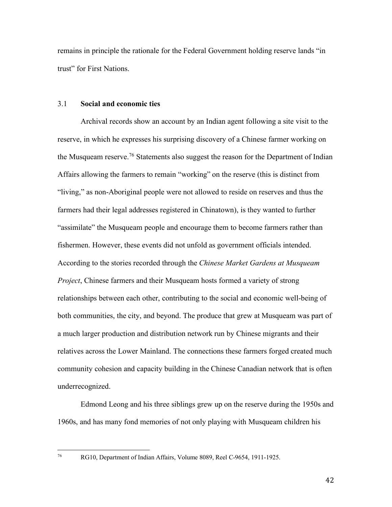remains in principle the rationale for the Federal Government holding reserve lands "in trust" for First Nations.

#### 3.1 **Social and economic ties**

Archival records show an account by an Indian agent following a site visit to the reserve, in which he expresses his surprising discovery of a Chinese farmer working on the Musqueam reserve.76 Statements also suggest the reason for the Department of Indian Affairs allowing the farmers to remain "working" on the reserve (this is distinct from "living," as non-Aboriginal people were not allowed to reside on reserves and thus the farmers had their legal addresses registered in Chinatown), is they wanted to further "assimilate" the Musqueam people and encourage them to become farmers rather than fishermen. However, these events did not unfold as government officials intended. According to the stories recorded through the *Chinese Market Gardens at Musqueam Project*, Chinese farmers and their Musqueam hosts formed a variety of strong relationships between each other, contributing to the social and economic well-being of both communities, the city, and beyond. The produce that grew at Musqueam was part of a much larger production and distribution network run by Chinese migrants and their relatives across the Lower Mainland. The connections these farmers forged created much community cohesion and capacity building in the Chinese Canadian network that is often underrecognized.

Edmond Leong and his three siblings grew up on the reserve during the 1950s and 1960s, and has many fond memories of not only playing with Musqueam children his

 <sup>76</sup> RG10, Department of Indian Affairs, Volume 8089, Reel C-9654, 1911-1925.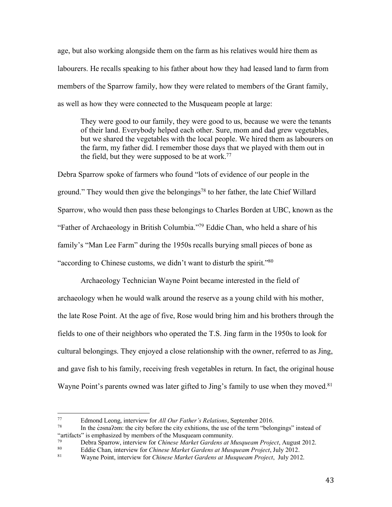age, but also working alongside them on the farm as his relatives would hire them as labourers. He recalls speaking to his father about how they had leased land to farm from members of the Sparrow family, how they were related to members of the Grant family, as well as how they were connected to the Musqueam people at large:

They were good to our family, they were good to us, because we were the tenants of their land. Everybody helped each other. Sure, mom and dad grew vegetables, but we shared the vegetables with the local people. We hired them as labourers on the farm, my father did. I remember those days that we played with them out in the field, but they were supposed to be at work.<sup>77</sup>

Debra Sparrow spoke of farmers who found "lots of evidence of our people in the ground." They would then give the belongings<sup>78</sup> to her father, the late Chief Willard Sparrow, who would then pass these belongings to Charles Borden at UBC, known as the "Father of Archaeology in British Columbia."79 Eddie Chan, who held a share of his family's "Man Lee Farm" during the 1950s recalls burying small pieces of bone as "according to Chinese customs, we didn't want to disturb the spirit."80

Archaeology Technician Wayne Point became interested in the field of archaeology when he would walk around the reserve as a young child with his mother, the late Rose Point. At the age of five, Rose would bring him and his brothers through the fields to one of their neighbors who operated the T.S. Jing farm in the 1950s to look for cultural belongings. They enjoyed a close relationship with the owner, referred to as Jing, and gave fish to his family, receiving fresh vegetables in return. In fact, the original house Wayne Point's parents owned was later gifted to Jing's family to use when they moved.<sup>81</sup>

 <sup>77</sup> Edmond Leong, interview for *All Our Father's Relations*, September 2016.

In the c sna?om: the city before the city exhitions, the use of the term "belongings" instead of "artifacts" is emphasized by members of the Musqueam community.<br><sup>79</sup> Debre Sparrow, interview for *Chinage Market Gardens at Ma* 

<sup>79</sup> Debra Sparrow, interview for *Chinese Market Gardens at Musqueam Project*, August 2012.

<sup>80</sup> Eddie Chan, interview for *Chinese Market Gardens at Musqueam Project*, July 2012. 81 Wayne Point, interview for *Chinese Market Gardens at Musqueam Project*, July 2012.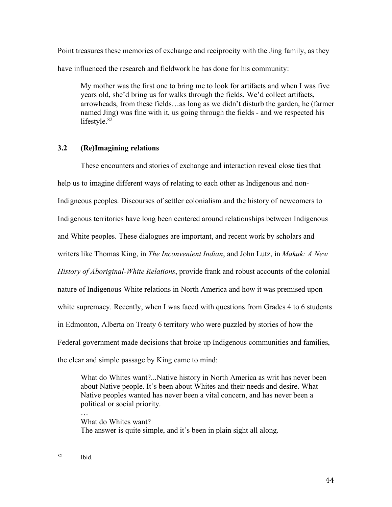Point treasures these memories of exchange and reciprocity with the Jing family, as they have influenced the research and fieldwork he has done for his community:

My mother was the first one to bring me to look for artifacts and when I was five years old, she'd bring us for walks through the fields. We'd collect artifacts, arrowheads, from these fields…as long as we didn't disturb the garden, he (farmer named Jing) was fine with it, us going through the fields - and we respected his lifestyle.<sup>82</sup>

# **3.2 (Re)Imagining relations**

These encounters and stories of exchange and interaction reveal close ties that help us to imagine different ways of relating to each other as Indigenous and non-Indigneous peoples. Discourses of settler colonialism and the history of newcomers to Indigenous territories have long been centered around relationships between Indigenous and White peoples. These dialogues are important, and recent work by scholars and writers like Thomas King, in *The Inconvenient Indian*, and John Lutz, in *Makuk: A New History of Aboriginal-White Relations*, provide frank and robust accounts of the colonial nature of Indigenous-White relations in North America and how it was premised upon white supremacy. Recently, when I was faced with questions from Grades 4 to 6 students in Edmonton, Alberta on Treaty 6 territory who were puzzled by stories of how the Federal government made decisions that broke up Indigenous communities and families, the clear and simple passage by King came to mind:

What do Whites want?...Native history in North America as writ has never been about Native people. It's been about Whites and their needs and desire. What Native peoples wanted has never been a vital concern, and has never been a political or social priority.

… What do Whites want? The answer is quite simple, and it's been in plain sight all along.

 <sup>82</sup> Ibid.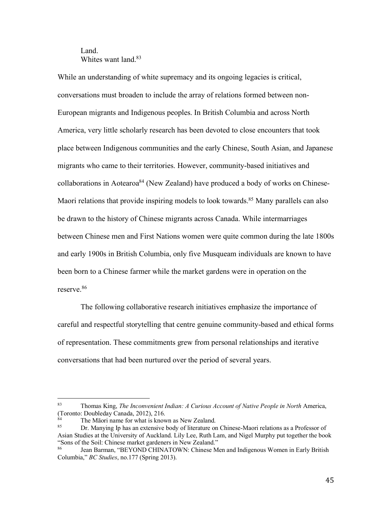# Land. Whites want land  $83$

While an understanding of white supremacy and its ongoing legacies is critical, conversations must broaden to include the array of relations formed between non-European migrants and Indigenous peoples. In British Columbia and across North America, very little scholarly research has been devoted to close encounters that took place between Indigenous communities and the early Chinese, South Asian, and Japanese migrants who came to their territories. However, community-based initiatives and collaborations in Aotearoa<sup>84</sup> (New Zealand) have produced a body of works on Chinese-Maori relations that provide inspiring models to look towards.<sup>85</sup> Many parallels can also be drawn to the history of Chinese migrants across Canada. While intermarriages between Chinese men and First Nations women were quite common during the late 1800s and early 1900s in British Columbia, only five Musqueam individuals are known to have been born to a Chinese farmer while the market gardens were in operation on the reserve.86

The following collaborative research initiatives emphasize the importance of careful and respectful storytelling that centre genuine community-based and ethical forms of representation. These commitments grew from personal relationships and iterative conversations that had been nurtured over the period of several years.

 <sup>83</sup> Thomas King, *The Inconvenient Indian: A Curious Account of Native People in North* America, (Toronto: Doubleday Canada, 2012), 216.

 $\frac{84}{100}$  The Māori name for what is known as New Zealand.

<sup>85</sup> Dr. Manying Ip has an extensive body of literature on Chinese-Maori relations as a Professor of Asian Studies at the University of Auckland. Lily Lee, Ruth Lam, and Nigel Murphy put together the book "Sons of the Soil: Chinese market gardeners in New Zealand."<br><sup>86</sup> Lean Barman, "BEVOND CHINATOWN: Chinese M

Jean Barman, "BEYOND CHINATOWN: Chinese Men and Indigenous Women in Early British Columbia," *BC Studies*, no.177 (Spring 2013).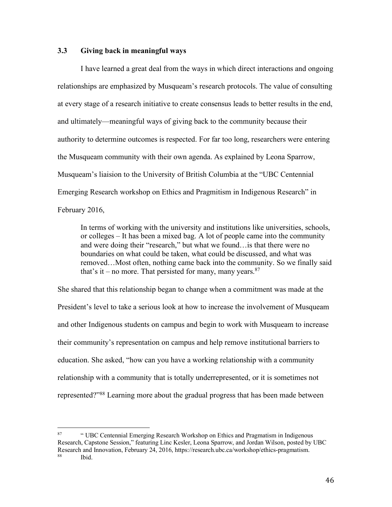# **3.3 Giving back in meaningful ways**

I have learned a great deal from the ways in which direct interactions and ongoing relationships are emphasized by Musqueam's research protocols. The value of consulting at every stage of a research initiative to create consensus leads to better results in the end, and ultimately—meaningful ways of giving back to the community because their authority to determine outcomes is respected. For far too long, researchers were entering the Musqueam community with their own agenda. As explained by Leona Sparrow, Musqueam's liaision to the University of British Columbia at the "UBC Centennial Emerging Research workshop on Ethics and Pragmitism in Indigenous Research" in February 2016,

In terms of working with the university and institutions like universities, schools, or colleges – It has been a mixed bag. A lot of people came into the community and were doing their "research," but what we found…is that there were no boundaries on what could be taken, what could be discussed, and what was removed…Most often, nothing came back into the community. So we finally said that's it – no more. That persisted for many, many years. $87$ 

She shared that this relationship began to change when a commitment was made at the President's level to take a serious look at how to increase the involvement of Musqueam and other Indigenous students on campus and begin to work with Musqueam to increase their community's representation on campus and help remove institutional barriers to education. She asked, "how can you have a working relationship with a community relationship with a community that is totally underrepresented, or it is sometimes not represented?"88 Learning more about the gradual progress that has been made between

 <sup>87</sup> " UBC Centennial Emerging Research Workshop on Ethics and Pragmatism in Indigenous Research, Capstone Session," featuring Linc Kesler, Leona Sparrow, and Jordan Wilson, posted by UBC Research and Innovation, February 24, 2016, https://research.ubc.ca/workshop/ethics-pragmatism. Ibid.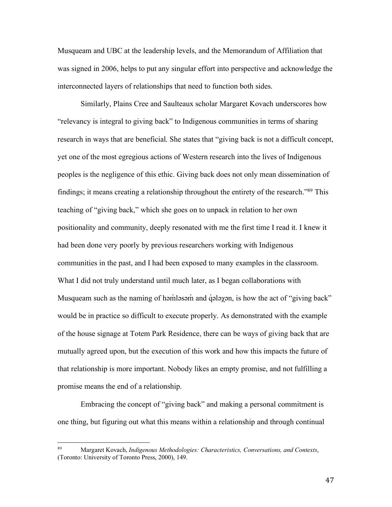Musqueam and UBC at the leadership levels, and the Memorandum of Affiliation that was signed in 2006, helps to put any singular effort into perspective and acknowledge the interconnected layers of relationships that need to function both sides.

Similarly, Plains Cree and Saulteaux scholar Margaret Kovach underscores how "relevancy is integral to giving back" to Indigenous communities in terms of sharing research in ways that are beneficial. She states that "giving back is not a difficult concept, yet one of the most egregious actions of Western research into the lives of Indigenous peoples is the negligence of this ethic. Giving back does not only mean dissemination of findings; it means creating a relationship throughout the entirety of the research."89 This teaching of "giving back," which she goes on to unpack in relation to her own positionality and community, deeply resonated with me the first time I read it. I knew it had been done very poorly by previous researchers working with Indigenous communities in the past, and I had been exposed to many examples in the classroom. What I did not truly understand until much later, as I began collaborations with Musqueam such as the naming of həm̓ ləsəm and q̓ələχən, is how the act of "giving back" would be in practice so difficult to execute properly. As demonstrated with the example of the house signage at Totem Park Residence, there can be ways of giving back that are mutually agreed upon, but the execution of this work and how this impacts the future of that relationship is more important. Nobody likes an empty promise, and not fulfilling a promise means the end of a relationship.

Embracing the concept of "giving back" and making a personal commitment is one thing, but figuring out what this means within a relationship and through continual

 <sup>89</sup> Margaret Kovach, *Indigenous Methodologies: Characteristics, Conversations, and Contexts*, (Toronto: University of Toronto Press, 2000), 149.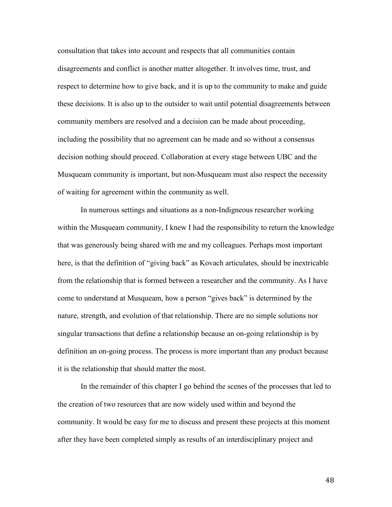consultation that takes into account and respects that all communities contain disagreements and conflict is another matter altogether. It involves time, trust, and respect to determine how to give back, and it is up to the community to make and guide these decisions. It is also up to the outsider to wait until potential disagreements between community members are resolved and a decision can be made about proceeding, including the possibility that no agreement can be made and so without a consensus decision nothing should proceed. Collaboration at every stage between UBC and the Musqueam community is important, but non-Musqueam must also respect the necessity of waiting for agreement within the community as well.

In numerous settings and situations as a non-Indigneous researcher working within the Musqueam community, I knew I had the responsibility to return the knowledge that was generously being shared with me and my colleagues. Perhaps most important here, is that the definition of "giving back" as Kovach articulates, should be inextricable from the relationship that is formed between a researcher and the community. As I have come to understand at Musqueam, how a person "gives back" is determined by the nature, strength, and evolution of that relationship. There are no simple solutions nor singular transactions that define a relationship because an on-going relationship is by definition an on-going process. The process is more important than any product because it is the relationship that should matter the most.

In the remainder of this chapter I go behind the scenes of the processes that led to the creation of two resources that are now widely used within and beyond the community. It would be easy for me to discuss and present these projects at this moment after they have been completed simply as results of an interdisciplinary project and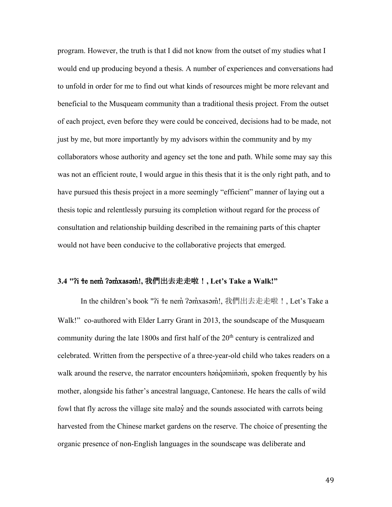program. However, the truth is that I did not know from the outset of my studies what I would end up producing beyond a thesis. A number of experiences and conversations had to unfold in order for me to find out what kinds of resources might be more relevant and beneficial to the Musqueam community than a traditional thesis project. From the outset of each project, even before they were could be conceived, decisions had to be made, not just by me, but more importantly by my advisors within the community and by my collaborators whose authority and agency set the tone and path. While some may say this was not an efficient route, I would argue in this thesis that it is the only right path, and to have pursued this thesis project in a more seemingly "efficient" manner of laying out a thesis topic and relentlessly pursuing its completion without regard for the process of consultation and relationship building described in the remaining parts of this chapter would not have been conducive to the collaborative projects that emerged.

#### **3.4 "**ʔi ɬe nem̓ ʔəm̓xasəm̓!**,** 我們出去走走啦!**, Let's Take a Walk!"**

In the children's book "?i te nem ?am̓xasam̓!, 我們出去走走啦!, Let's Take a Walk!" co-authored with Elder Larry Grant in 2013, the soundscape of the Musqueam community during the late 1800s and first half of the 20<sup>th</sup> century is centralized and celebrated. Written from the perspective of a three-year-old child who takes readers on a walk around the reserve, the narrator encounters hənqəminəm, spoken frequently by his mother, alongside his father's ancestral language, Cantonese. He hears the calls of wild fowl that fly across the village site malay and the sounds associated with carrots being harvested from the Chinese market gardens on the reserve. The choice of presenting the organic presence of non-English languages in the soundscape was deliberate and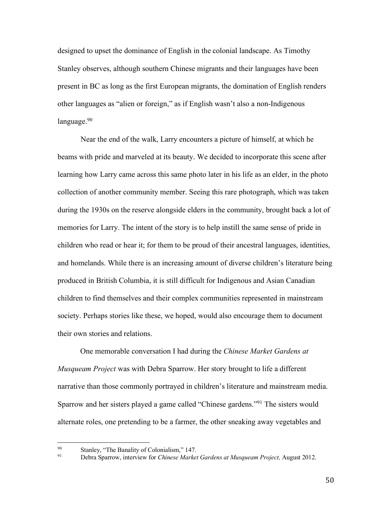designed to upset the dominance of English in the colonial landscape. As Timothy Stanley observes, although southern Chinese migrants and their languages have been present in BC as long as the first European migrants, the domination of English renders other languages as "alien or foreign," as if English wasn't also a non-Indigenous language. $90$ 

Near the end of the walk, Larry encounters a picture of himself, at which he beams with pride and marveled at its beauty. We decided to incorporate this scene after learning how Larry came across this same photo later in his life as an elder, in the photo collection of another community member. Seeing this rare photograph, which was taken during the 1930s on the reserve alongside elders in the community, brought back a lot of memories for Larry. The intent of the story is to help instill the same sense of pride in children who read or hear it; for them to be proud of their ancestral languages, identities, and homelands. While there is an increasing amount of diverse children's literature being produced in British Columbia, it is still difficult for Indigenous and Asian Canadian children to find themselves and their complex communities represented in mainstream society. Perhaps stories like these, we hoped, would also encourage them to document their own stories and relations.

One memorable conversation I had during the *Chinese Market Gardens at Musqueam Project* was with Debra Sparrow. Her story brought to life a different narrative than those commonly portrayed in children's literature and mainstream media. Sparrow and her sisters played a game called "Chinese gardens."91 The sisters would alternate roles, one pretending to be a farmer, the other sneaking away vegetables and

<sup>90</sup> Stanley, "The Banality of Colonialism," 147. 91 Debra Sparrow, interview for *Chinese Market Gardens at Musqueam Project,* August 2012.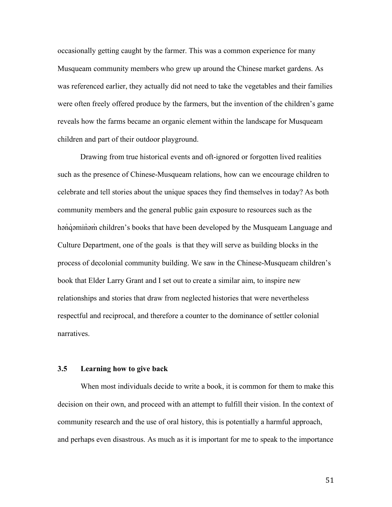occasionally getting caught by the farmer. This was a common experience for many Musqueam community members who grew up around the Chinese market gardens. As was referenced earlier, they actually did not need to take the vegetables and their families were often freely offered produce by the farmers, but the invention of the children's game reveals how the farms became an organic element within the landscape for Musqueam children and part of their outdoor playground.

Drawing from true historical events and oft-ignored or forgotten lived realities such as the presence of Chinese-Musqueam relations, how can we encourage children to celebrate and tell stories about the unique spaces they find themselves in today? As both community members and the general public gain exposure to resources such as the həndə minəm children's books that have been developed by the Musqueam Language and Culture Department, one of the goals is that they will serve as building blocks in the process of decolonial community building. We saw in the Chinese-Musqueam children's book that Elder Larry Grant and I set out to create a similar aim, to inspire new relationships and stories that draw from neglected histories that were nevertheless respectful and reciprocal, and therefore a counter to the dominance of settler colonial narratives.

### **3.5 Learning how to give back**

When most individuals decide to write a book, it is common for them to make this decision on their own, and proceed with an attempt to fulfill their vision. In the context of community research and the use of oral history, this is potentially a harmful approach, and perhaps even disastrous. As much as it is important for me to speak to the importance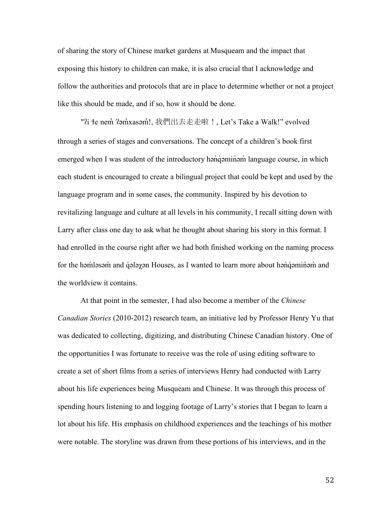of sharing the story of Chinese market gardens at Musqueam and the impact that exposing this history to children can make, it is also crucial that I acknowledge and follow the authorities and protocols that are in place to determine whether or not a project like this should be made, and if so, how it should be done.

"?i te nem̓ ?əm̓xasəm̓!, 我們出去走走啦 !, Let's Take a Walk!" evolved through a series of stages and conversations. The concept of a children's book first emerged when I was student of the introductory han`qaminam language course, in which each student is encouraged to create a bilingual project that could be kept and used by the language program and in some cases, the community. Inspired by his devotion to revitalizing language and culture at all levels in his community, I recall sitting down with Larry after class one day to ask what he thought about sharing his story in this format. I had enrolled in the course right after we had both finished working on the naming process for the həm๋ləsəm and q ələx ən Houses, as I wanted to learn more about hənq əminəm and the worldview it contains.

At that point in the semester, I had also become a member of the *Chinese Canadian Stories* (2010-2012) research team, an initiative led by Professor Henry Yu that was dedicated to collecting, digitizing, and distributing Chinese Canadian history. One of the opportunities I was fortunate to receive was the role of using editing software to create a set of short films from a series of interviews Henry had conducted with Larry about his life experiences being Musqueam and Chinese. It was through this process of spending hours listening to and logging footage of Larry's stories that I began to learn a lot about his life. His emphasis on childhood experiences and the teachings of his mother were notable. The storyline was drawn from these portions of his interviews, and in the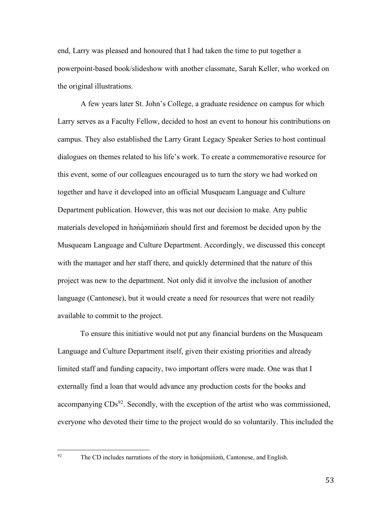end, Larry was pleased and honoured that I had taken the time to put together a powerpoint-based book/slideshow with another classmate, Sarah Keller, who worked on the original illustrations.

A few years later St. John's College, a graduate residence on campus for which Larry serves as a Faculty Fellow, decided to host an event to honour his contributions on campus. They also established the Larry Grant Legacy Speaker Series to host continual dialogues on themes related to his life's work. To create a commemorative resource for this event, some of our colleagues encouraged us to turn the story we had worked on together and have it developed into an official Musqueam Language and Culture Department publication. However, this was not our decision to make. Any public materials developed in hənqəminəm should first and foremost be decided upon by the Musqueam Language and Culture Department. Accordingly, we discussed this concept with the manager and her staff there, and quickly determined that the nature of this project was new to the department. Not only did it involve the inclusion of another language (Cantonese), but it would create a need for resources that were not readily available to commit to the project.

To ensure this initiative would not put any financial burdens on the Musqueam Language and Culture Department itself, given their existing priorities and already limited staff and funding capacity, two important offers were made. One was that I externally find a loan that would advance any production costs for the books and accompanying  $CDS<sup>92</sup>$ . Secondly, with the exception of the artist who was commissioned, everyone who devoted their time to the project would do so voluntarily. This included the

 $92$  The CD includes narrations of the story in hənq iminom, Cantonese, and English.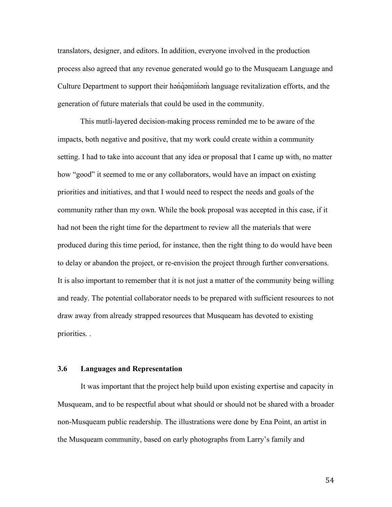translators, designer, and editors. In addition, everyone involved in the production process also agreed that any revenue generated would go to the Musqueam Language and Culture Department to support their hənqəminəm language revitalization efforts, and the generation of future materials that could be used in the community.

This mutli-layered decision-making process reminded me to be aware of the impacts, both negative and positive, that my work could create within a community setting. I had to take into account that any idea or proposal that I came up with, no matter how "good" it seemed to me or any collaborators, would have an impact on existing priorities and initiatives, and that I would need to respect the needs and goals of the community rather than my own. While the book proposal was accepted in this case, if it had not been the right time for the department to review all the materials that were produced during this time period, for instance, then the right thing to do would have been to delay or abandon the project, or re-envision the project through further conversations. It is also important to remember that it is not just a matter of the community being willing and ready. The potential collaborator needs to be prepared with sufficient resources to not draw away from already strapped resources that Musqueam has devoted to existing priorities. .

### **3.6 Languages and Representation**

It was important that the project help build upon existing expertise and capacity in Musqueam, and to be respectful about what should or should not be shared with a broader non-Musqueam public readership. The illustrations were done by Ena Point, an artist in the Musqueam community, based on early photographs from Larry's family and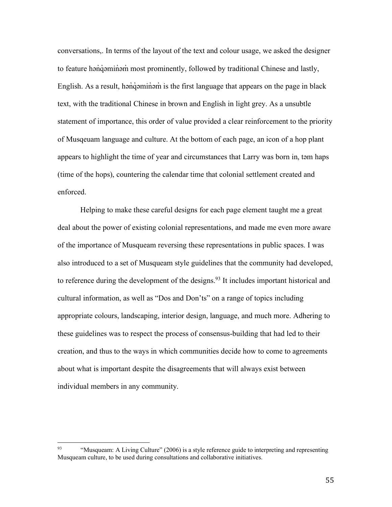conversations,. In terms of the layout of the text and colour usage, we asked the designer to feature hənqəminəm most prominently, followed by traditional Chinese and lastly, English. As a result, hən'də minəm is the first language that appears on the page in black text, with the traditional Chinese in brown and English in light grey. As a unsubtle statement of importance, this order of value provided a clear reinforcement to the priority of Musqeuam language and culture. At the bottom of each page, an icon of a hop plant appears to highlight the time of year and circumstances that Larry was born in, təm haps (time of the hops), countering the calendar time that colonial settlement created and enforced.

Helping to make these careful designs for each page element taught me a great deal about the power of existing colonial representations, and made me even more aware of the importance of Musqueam reversing these representations in public spaces. I was also introduced to a set of Musqueam style guidelines that the community had developed, to reference during the development of the designs. <sup>93</sup> It includes important historical and cultural information, as well as "Dos and Don'ts" on a range of topics including appropriate colours, landscaping, interior design, language, and much more. Adhering to these guidelines was to respect the process of consensus-building that had led to their creation, and thus to the ways in which communities decide how to come to agreements about what is important despite the disagreements that will always exist between individual members in any community.

<sup>&</sup>lt;sup>93</sup> "Musqueam: A Living Culture" (2006) is a style reference guide to interpreting and representing Musqueam culture, to be used during consultations and collaborative initiatives.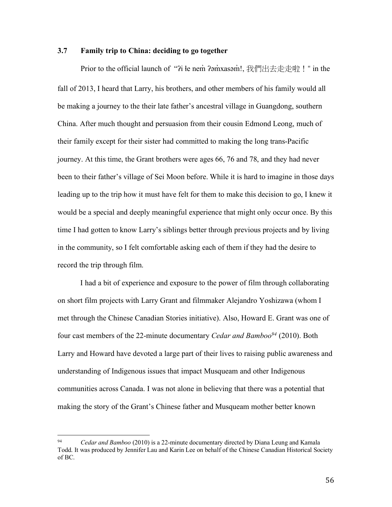# **3.7 Family trip to China: deciding to go together**

Prior to the official launch of "?i łe nem ?amxasamं!, 我們出去走走啦!" in the fall of 2013, I heard that Larry, his brothers, and other members of his family would all be making a journey to the their late father's ancestral village in Guangdong, southern China. After much thought and persuasion from their cousin Edmond Leong, much of their family except for their sister had committed to making the long trans-Pacific journey. At this time, the Grant brothers were ages 66, 76 and 78, and they had never been to their father's village of Sei Moon before. While it is hard to imagine in those days leading up to the trip how it must have felt for them to make this decision to go, I knew it would be a special and deeply meaningful experience that might only occur once. By this time I had gotten to know Larry's siblings better through previous projects and by living in the community, so I felt comfortable asking each of them if they had the desire to record the trip through film.

I had a bit of experience and exposure to the power of film through collaborating on short film projects with Larry Grant and filmmaker Alejandro Yoshizawa (whom I met through the Chinese Canadian Stories initiative). Also, Howard E. Grant was one of four cast members of the 22-minute documentary *Cedar and Bamboo94* (2010). Both Larry and Howard have devoted a large part of their lives to raising public awareness and understanding of Indigenous issues that impact Musqueam and other Indigenous communities across Canada. I was not alone in believing that there was a potential that making the story of the Grant's Chinese father and Musqueam mother better known

 <sup>94</sup> *Cedar and Bamboo* (2010) is a 22-minute documentary directed by Diana Leung and Kamala Todd. It was produced by Jennifer Lau and Karin Lee on behalf of the Chinese Canadian Historical Society of BC.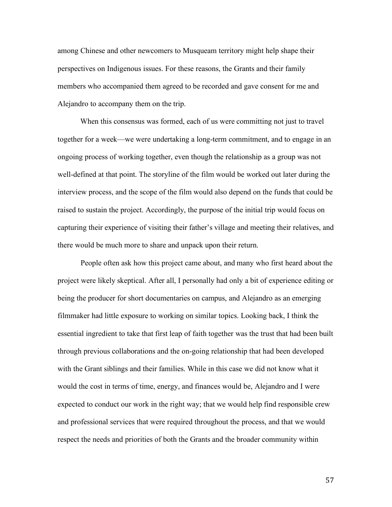among Chinese and other newcomers to Musqueam territory might help shape their perspectives on Indigenous issues. For these reasons, the Grants and their family members who accompanied them agreed to be recorded and gave consent for me and Alejandro to accompany them on the trip.

When this consensus was formed, each of us were committing not just to travel together for a week—we were undertaking a long-term commitment, and to engage in an ongoing process of working together, even though the relationship as a group was not well-defined at that point. The storyline of the film would be worked out later during the interview process, and the scope of the film would also depend on the funds that could be raised to sustain the project. Accordingly, the purpose of the initial trip would focus on capturing their experience of visiting their father's village and meeting their relatives, and there would be much more to share and unpack upon their return.

People often ask how this project came about, and many who first heard about the project were likely skeptical. After all, I personally had only a bit of experience editing or being the producer for short documentaries on campus, and Alejandro as an emerging filmmaker had little exposure to working on similar topics. Looking back, I think the essential ingredient to take that first leap of faith together was the trust that had been built through previous collaborations and the on-going relationship that had been developed with the Grant siblings and their families. While in this case we did not know what it would the cost in terms of time, energy, and finances would be, Alejandro and I were expected to conduct our work in the right way; that we would help find responsible crew and professional services that were required throughout the process, and that we would respect the needs and priorities of both the Grants and the broader community within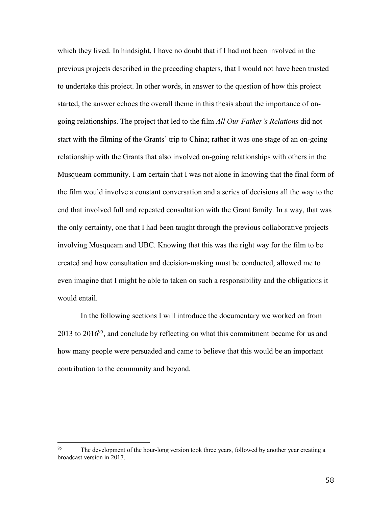which they lived. In hindsight, I have no doubt that if I had not been involved in the previous projects described in the preceding chapters, that I would not have been trusted to undertake this project. In other words, in answer to the question of how this project started, the answer echoes the overall theme in this thesis about the importance of ongoing relationships. The project that led to the film *All Our Father's Relations* did not start with the filming of the Grants' trip to China; rather it was one stage of an on-going relationship with the Grants that also involved on-going relationships with others in the Musqueam community. I am certain that I was not alone in knowing that the final form of the film would involve a constant conversation and a series of decisions all the way to the end that involved full and repeated consultation with the Grant family. In a way, that was the only certainty, one that I had been taught through the previous collaborative projects involving Musqueam and UBC. Knowing that this was the right way for the film to be created and how consultation and decision-making must be conducted, allowed me to even imagine that I might be able to taken on such a responsibility and the obligations it would entail.

In the following sections I will introduce the documentary we worked on from  $2013$  to  $2016<sup>95</sup>$ , and conclude by reflecting on what this commitment became for us and how many people were persuaded and came to believe that this would be an important contribution to the community and beyond.

<sup>&</sup>lt;sup>95</sup> The development of the hour-long version took three years, followed by another year creating a broadcast version in 2017.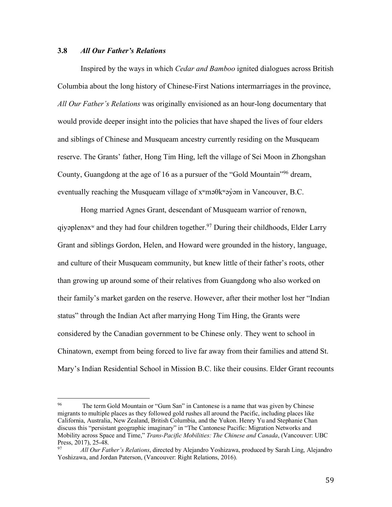# **3.8** *All Our Father's Relations*

Inspired by the ways in which *Cedar and Bamboo* ignited dialogues across British Columbia about the long history of Chinese-First Nations intermarriages in the province, *All Our Father's Relations* was originally envisioned as an hour-long documentary that would provide deeper insight into the policies that have shaped the lives of four elders and siblings of Chinese and Musqueam ancestry currently residing on the Musqueam reserve. The Grants' father, Hong Tim Hing, left the village of Sei Moon in Zhongshan County, Guangdong at the age of 16 as a pursuer of the "Gold Mountain"96 dream, eventually reaching the Musqueam village of  $x^w$ mə $\theta$ k $^w$ əyəm in Vancouver, B.C.

Hong married Agnes Grant, descendant of Musqueam warrior of renown, qiyəplenəx<sup>w</sup> and they had four children together.<sup>97</sup> During their childhoods, Elder Larry Grant and siblings Gordon, Helen, and Howard were grounded in the history, language, and culture of their Musqueam community, but knew little of their father's roots, other than growing up around some of their relatives from Guangdong who also worked on their family's market garden on the reserve. However, after their mother lost her "Indian status" through the Indian Act after marrying Hong Tim Hing, the Grants were considered by the Canadian government to be Chinese only. They went to school in Chinatown, exempt from being forced to live far away from their families and attend St. Mary's Indian Residential School in Mission B.C. like their cousins. Elder Grant recounts

<sup>&</sup>lt;sup>96</sup> The term Gold Mountain or "Gum San" in Cantonese is a name that was given by Chinese migrants to multiple places as they followed gold rushes all around the Pacific, including places like California, Australia, New Zealand, British Columbia, and the Yukon. Henry Yu and Stephanie Chan discuss this "persistant geographic imaginary" in "The Cantonese Pacific: Migration Networks and Mobility across Space and Time," *Trans-Pacific Mobilities: The Chinese and Canada*, (Vancouver: UBC Press, 2017), 25-48.

<sup>97</sup> *All Our Father's Relations*, directed by Alejandro Yoshizawa, produced by Sarah Ling, Alejandro Yoshizawa, and Jordan Paterson, (Vancouver: Right Relations, 2016).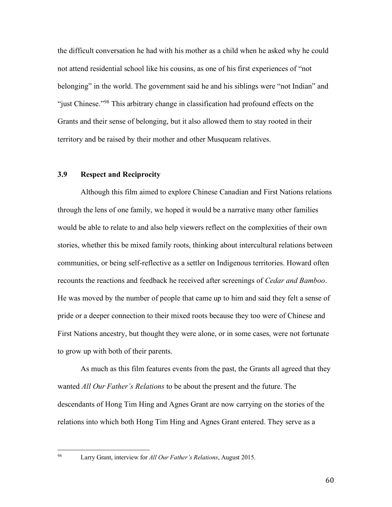the difficult conversation he had with his mother as a child when he asked why he could not attend residential school like his cousins, as one of his first experiences of "not belonging" in the world. The government said he and his siblings were "not Indian" and "just Chinese."98 This arbitrary change in classification had profound effects on the Grants and their sense of belonging, but it also allowed them to stay rooted in their territory and be raised by their mother and other Musqueam relatives.

### **3.9 Respect and Reciprocity**

Although this film aimed to explore Chinese Canadian and First Nations relations through the lens of one family, we hoped it would be a narrative many other families would be able to relate to and also help viewers reflect on the complexities of their own stories, whether this be mixed family roots, thinking about intercultural relations between communities, or being self-reflective as a settler on Indigenous territories. Howard often recounts the reactions and feedback he received after screenings of *Cedar and Bamboo*. He was moved by the number of people that came up to him and said they felt a sense of pride or a deeper connection to their mixed roots because they too were of Chinese and First Nations ancestry, but thought they were alone, or in some cases, were not fortunate to grow up with both of their parents.

As much as this film features events from the past, the Grants all agreed that they wanted *All Our Father's Relations* to be about the present and the future. The descendants of Hong Tim Hing and Agnes Grant are now carrying on the stories of the relations into which both Hong Tim Hing and Agnes Grant entered. They serve as a

 <sup>98</sup> Larry Grant, interview for *All Our Father's Relations*, August 2015.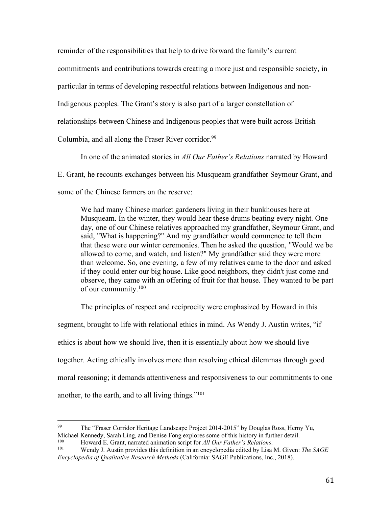reminder of the responsibilities that help to drive forward the family's current commitments and contributions towards creating a more just and responsible society, in particular in terms of developing respectful relations between Indigenous and non-Indigenous peoples. The Grant's story is also part of a larger constellation of relationships between Chinese and Indigenous peoples that were built across British Columbia, and all along the Fraser River corridor.<sup>99</sup>

In one of the animated stories in *All Our Father's Relations* narrated by Howard E. Grant, he recounts exchanges between his Musqueam grandfather Seymour Grant, and some of the Chinese farmers on the reserve:

We had many Chinese market gardeners living in their bunkhouses here at Musqueam. In the winter, they would hear these drums beating every night. One day, one of our Chinese relatives approached my grandfather, Seymour Grant, and said, "What is happening?" And my grandfather would commence to tell them that these were our winter ceremonies. Then he asked the question, "Would we be allowed to come, and watch, and listen?" My grandfather said they were more than welcome. So, one evening, a few of my relatives came to the door and asked if they could enter our big house. Like good neighbors, they didn't just come and observe, they came with an offering of fruit for that house. They wanted to be part of our community.100

The principles of respect and reciprocity were emphasized by Howard in this segment, brought to life with relational ethics in mind. As Wendy J. Austin writes, "if ethics is about how we should live, then it is essentially about how we should live together. Acting ethically involves more than resolving ethical dilemmas through good moral reasoning; it demands attentiveness and responsiveness to our commitments to one another, to the earth, and to all living things."101

 <sup>99</sup> The "Fraser Corridor Heritage Landscape Project 2014-2015" by Douglas Ross, Herny Yu, Michael Kennedy, Sarah Ling, and Denise Fong explores some of this history in further detail.<br> $\frac{100}{100}$  Howard E. Graph permited enimation sorint for All Own Eather's Pelations.

<sup>100</sup> Howard E. Grant, narrated animation script for *All Our Father's Relations*.<br>101 Wandy L. Austin provides this definition in an appropriated direct by Lisa

<sup>101</sup> Wendy J. Austin provides this definition in an encyclopedia edited by Lisa M. Given: *The SAGE Encyclopedia of Qualitative Research Methods* (California: SAGE Publications, Inc., 2018).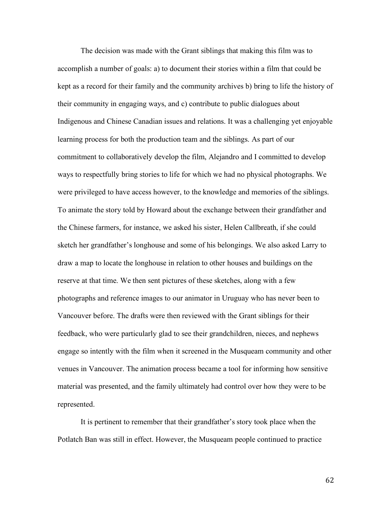The decision was made with the Grant siblings that making this film was to accomplish a number of goals: a) to document their stories within a film that could be kept as a record for their family and the community archives b) bring to life the history of their community in engaging ways, and c) contribute to public dialogues about Indigenous and Chinese Canadian issues and relations. It was a challenging yet enjoyable learning process for both the production team and the siblings. As part of our commitment to collaboratively develop the film, Alejandro and I committed to develop ways to respectfully bring stories to life for which we had no physical photographs. We were privileged to have access however, to the knowledge and memories of the siblings. To animate the story told by Howard about the exchange between their grandfather and the Chinese farmers, for instance, we asked his sister, Helen Callbreath, if she could sketch her grandfather's longhouse and some of his belongings. We also asked Larry to draw a map to locate the longhouse in relation to other houses and buildings on the reserve at that time. We then sent pictures of these sketches, along with a few photographs and reference images to our animator in Uruguay who has never been to Vancouver before. The drafts were then reviewed with the Grant siblings for their feedback, who were particularly glad to see their grandchildren, nieces, and nephews engage so intently with the film when it screened in the Musqueam community and other venues in Vancouver. The animation process became a tool for informing how sensitive material was presented, and the family ultimately had control over how they were to be represented.

It is pertinent to remember that their grandfather's story took place when the Potlatch Ban was still in effect. However, the Musqueam people continued to practice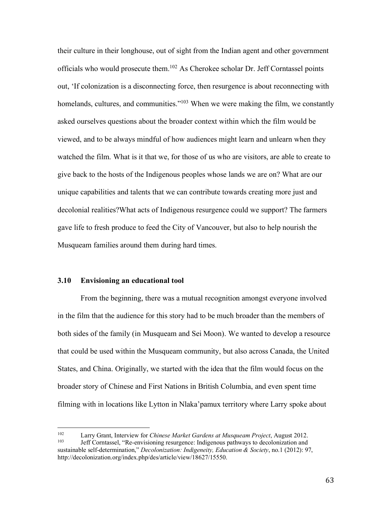their culture in their longhouse, out of sight from the Indian agent and other government officials who would prosecute them.102 As Cherokee scholar Dr. Jeff Corntassel points out, 'If colonization is a disconnecting force, then resurgence is about reconnecting with homelands, cultures, and communities."<sup>103</sup> When we were making the film, we constantly asked ourselves questions about the broader context within which the film would be viewed, and to be always mindful of how audiences might learn and unlearn when they watched the film. What is it that we, for those of us who are visitors, are able to create to give back to the hosts of the Indigenous peoples whose lands we are on? What are our unique capabilities and talents that we can contribute towards creating more just and decolonial realities?What acts of Indigenous resurgence could we support? The farmers gave life to fresh produce to feed the City of Vancouver, but also to help nourish the Musqueam families around them during hard times.

#### **3.10 Envisioning an educational tool**

From the beginning, there was a mutual recognition amongst everyone involved in the film that the audience for this story had to be much broader than the members of both sides of the family (in Musqueam and Sei Moon). We wanted to develop a resource that could be used within the Musqueam community, but also across Canada, the United States, and China. Originally, we started with the idea that the film would focus on the broader story of Chinese and First Nations in British Columbia, and even spent time filming with in locations like Lytton in Nlaka'pamux territory where Larry spoke about

 <sup>102</sup> Larry Grant, Interview for *Chinese Market Gardens at Musqueam Project*, August 2012. <sup>103</sup> Jeff Corntassel, "Re-envisioning resurgence: Indigenous pathways to decolonization and sustainable self-determination," *Decolonization: Indigeneity, Education & Society*, no.1 (2012): 97, http://decolonization.org/index.php/des/article/view/18627/15550.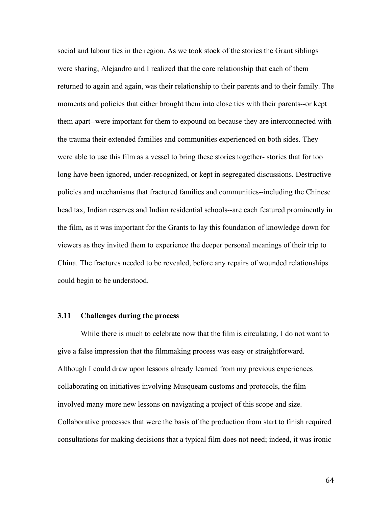social and labour ties in the region. As we took stock of the stories the Grant siblings were sharing, Alejandro and I realized that the core relationship that each of them returned to again and again, was their relationship to their parents and to their family. The moments and policies that either brought them into close ties with their parents--or kept them apart--were important for them to expound on because they are interconnected with the trauma their extended families and communities experienced on both sides. They were able to use this film as a vessel to bring these stories together- stories that for too long have been ignored, under-recognized, or kept in segregated discussions. Destructive policies and mechanisms that fractured families and communities--including the Chinese head tax, Indian reserves and Indian residential schools--are each featured prominently in the film, as it was important for the Grants to lay this foundation of knowledge down for viewers as they invited them to experience the deeper personal meanings of their trip to China. The fractures needed to be revealed, before any repairs of wounded relationships could begin to be understood.

#### **3.11 Challenges during the process**

While there is much to celebrate now that the film is circulating, I do not want to give a false impression that the filmmaking process was easy or straightforward. Although I could draw upon lessons already learned from my previous experiences collaborating on initiatives involving Musqueam customs and protocols, the film involved many more new lessons on navigating a project of this scope and size. Collaborative processes that were the basis of the production from start to finish required consultations for making decisions that a typical film does not need; indeed, it was ironic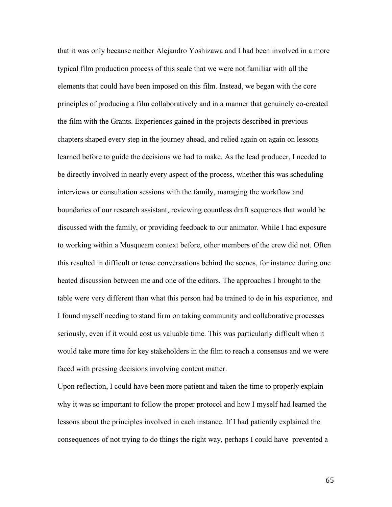that it was only because neither Alejandro Yoshizawa and I had been involved in a more typical film production process of this scale that we were not familiar with all the elements that could have been imposed on this film. Instead, we began with the core principles of producing a film collaboratively and in a manner that genuinely co-created the film with the Grants. Experiences gained in the projects described in previous chapters shaped every step in the journey ahead, and relied again on again on lessons learned before to guide the decisions we had to make. As the lead producer, I needed to be directly involved in nearly every aspect of the process, whether this was scheduling interviews or consultation sessions with the family, managing the workflow and boundaries of our research assistant, reviewing countless draft sequences that would be discussed with the family, or providing feedback to our animator. While I had exposure to working within a Musqueam context before, other members of the crew did not. Often this resulted in difficult or tense conversations behind the scenes, for instance during one heated discussion between me and one of the editors. The approaches I brought to the table were very different than what this person had be trained to do in his experience, and I found myself needing to stand firm on taking community and collaborative processes seriously, even if it would cost us valuable time. This was particularly difficult when it would take more time for key stakeholders in the film to reach a consensus and we were faced with pressing decisions involving content matter.

Upon reflection, I could have been more patient and taken the time to properly explain why it was so important to follow the proper protocol and how I myself had learned the lessons about the principles involved in each instance. If I had patiently explained the consequences of not trying to do things the right way, perhaps I could have prevented a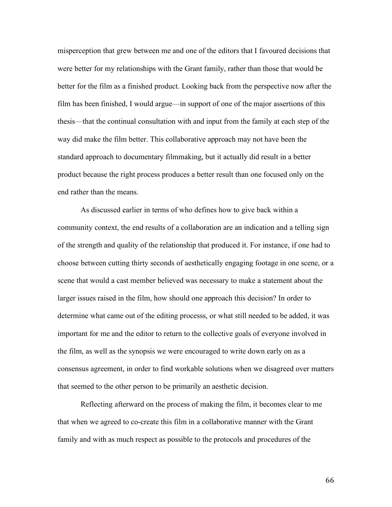misperception that grew between me and one of the editors that I favoured decisions that were better for my relationships with the Grant family, rather than those that would be better for the film as a finished product. Looking back from the perspective now after the film has been finished, I would argue—in support of one of the major assertions of this thesis—that the continual consultation with and input from the family at each step of the way did make the film better. This collaborative approach may not have been the standard approach to documentary filmmaking, but it actually did result in a better product because the right process produces a better result than one focused only on the end rather than the means.

As discussed earlier in terms of who defines how to give back within a community context, the end results of a collaboration are an indication and a telling sign of the strength and quality of the relationship that produced it. For instance, if one had to choose between cutting thirty seconds of aesthetically engaging footage in one scene, or a scene that would a cast member believed was necessary to make a statement about the larger issues raised in the film, how should one approach this decision? In order to determine what came out of the editing processs, or what still needed to be added, it was important for me and the editor to return to the collective goals of everyone involved in the film, as well as the synopsis we were encouraged to write down early on as a consensus agreement, in order to find workable solutions when we disagreed over matters that seemed to the other person to be primarily an aesthetic decision.

Reflecting afterward on the process of making the film, it becomes clear to me that when we agreed to co-create this film in a collaborative manner with the Grant family and with as much respect as possible to the protocols and procedures of the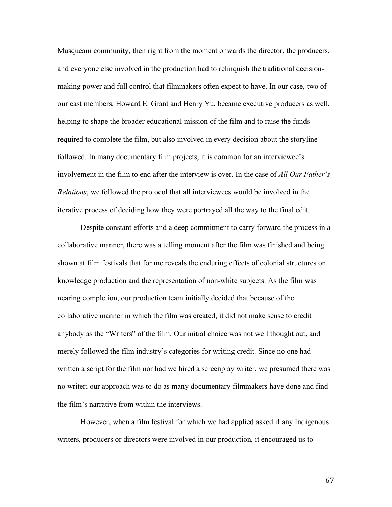Musqueam community, then right from the moment onwards the director, the producers, and everyone else involved in the production had to relinquish the traditional decisionmaking power and full control that filmmakers often expect to have. In our case, two of our cast members, Howard E. Grant and Henry Yu, became executive producers as well, helping to shape the broader educational mission of the film and to raise the funds required to complete the film, but also involved in every decision about the storyline followed. In many documentary film projects, it is common for an interviewee's involvement in the film to end after the interview is over. In the case of *All Our Father's Relations*, we followed the protocol that all interviewees would be involved in the iterative process of deciding how they were portrayed all the way to the final edit.

Despite constant efforts and a deep commitment to carry forward the process in a collaborative manner, there was a telling moment after the film was finished and being shown at film festivals that for me reveals the enduring effects of colonial structures on knowledge production and the representation of non-white subjects. As the film was nearing completion, our production team initially decided that because of the collaborative manner in which the film was created, it did not make sense to credit anybody as the "Writers" of the film. Our initial choice was not well thought out, and merely followed the film industry's categories for writing credit. Since no one had written a script for the film nor had we hired a screenplay writer, we presumed there was no writer; our approach was to do as many documentary filmmakers have done and find the film's narrative from within the interviews.

However, when a film festival for which we had applied asked if any Indigenous writers, producers or directors were involved in our production, it encouraged us to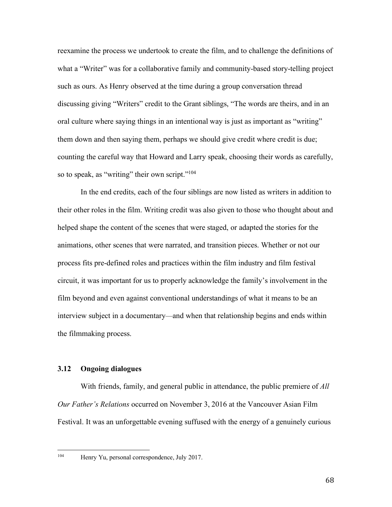reexamine the process we undertook to create the film, and to challenge the definitions of what a "Writer" was for a collaborative family and community-based story-telling project such as ours. As Henry observed at the time during a group conversation thread discussing giving "Writers" credit to the Grant siblings, "The words are theirs, and in an oral culture where saying things in an intentional way is just as important as "writing" them down and then saying them, perhaps we should give credit where credit is due; counting the careful way that Howard and Larry speak, choosing their words as carefully, so to speak, as "writing" their own script."<sup>104</sup>

In the end credits, each of the four siblings are now listed as writers in addition to their other roles in the film. Writing credit was also given to those who thought about and helped shape the content of the scenes that were staged, or adapted the stories for the animations, other scenes that were narrated, and transition pieces. Whether or not our process fits pre-defined roles and practices within the film industry and film festival circuit, it was important for us to properly acknowledge the family's involvement in the film beyond and even against conventional understandings of what it means to be an interview subject in a documentary—and when that relationship begins and ends within the filmmaking process.

# **3.12 Ongoing dialogues**

With friends, family, and general public in attendance, the public premiere of *All Our Father's Relations* occurred on November 3, 2016 at the Vancouver Asian Film Festival. It was an unforgettable evening suffused with the energy of a genuinely curious

 <sup>104</sup> Henry Yu, personal correspondence, July 2017.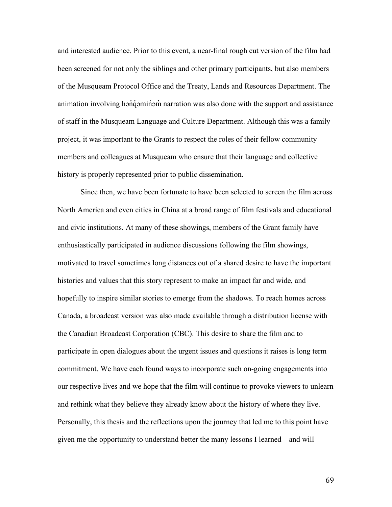and interested audience. Prior to this event, a near-final rough cut version of the film had been screened for not only the siblings and other primary participants, but also members of the Musqueam Protocol Office and the Treaty, Lands and Resources Department. The animation involving hən'qəminəm narration was also done with the support and assistance of staff in the Musqueam Language and Culture Department. Although this was a family project, it was important to the Grants to respect the roles of their fellow community members and colleagues at Musqueam who ensure that their language and collective history is properly represented prior to public dissemination.

Since then, we have been fortunate to have been selected to screen the film across North America and even cities in China at a broad range of film festivals and educational and civic institutions. At many of these showings, members of the Grant family have enthusiastically participated in audience discussions following the film showings, motivated to travel sometimes long distances out of a shared desire to have the important histories and values that this story represent to make an impact far and wide, and hopefully to inspire similar stories to emerge from the shadows. To reach homes across Canada, a broadcast version was also made available through a distribution license with the Canadian Broadcast Corporation (CBC). This desire to share the film and to participate in open dialogues about the urgent issues and questions it raises is long term commitment. We have each found ways to incorporate such on-going engagements into our respective lives and we hope that the film will continue to provoke viewers to unlearn and rethink what they believe they already know about the history of where they live. Personally, this thesis and the reflections upon the journey that led me to this point have given me the opportunity to understand better the many lessons I learned—and will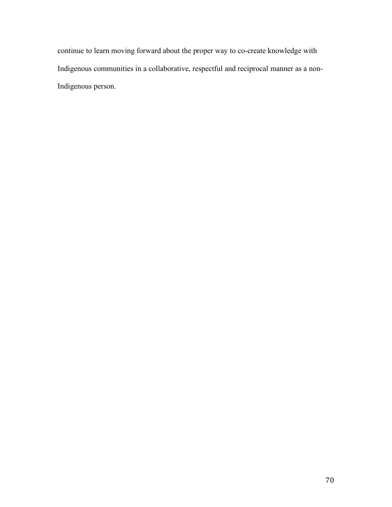continue to learn moving forward about the proper way to co-create knowledge with Indigenous communities in a collaborative, respectful and reciprocal manner as a non-Indigenous person.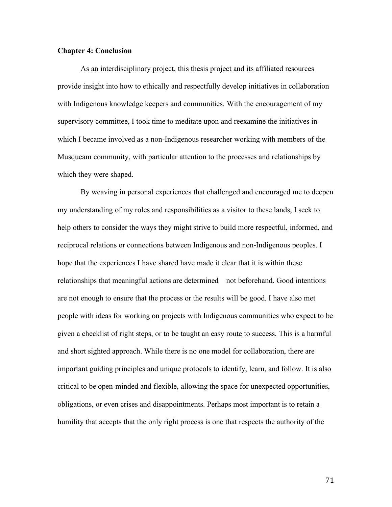### **Chapter 4: Conclusion**

As an interdisciplinary project, this thesis project and its affiliated resources provide insight into how to ethically and respectfully develop initiatives in collaboration with Indigenous knowledge keepers and communities. With the encouragement of my supervisory committee, I took time to meditate upon and reexamine the initiatives in which I became involved as a non-Indigenous researcher working with members of the Musqueam community, with particular attention to the processes and relationships by which they were shaped.

By weaving in personal experiences that challenged and encouraged me to deepen my understanding of my roles and responsibilities as a visitor to these lands, I seek to help others to consider the ways they might strive to build more respectful, informed, and reciprocal relations or connections between Indigenous and non-Indigenous peoples. I hope that the experiences I have shared have made it clear that it is within these relationships that meaningful actions are determined—not beforehand. Good intentions are not enough to ensure that the process or the results will be good. I have also met people with ideas for working on projects with Indigenous communities who expect to be given a checklist of right steps, or to be taught an easy route to success. This is a harmful and short sighted approach. While there is no one model for collaboration, there are important guiding principles and unique protocols to identify, learn, and follow. It is also critical to be open-minded and flexible, allowing the space for unexpected opportunities, obligations, or even crises and disappointments. Perhaps most important is to retain a humility that accepts that the only right process is one that respects the authority of the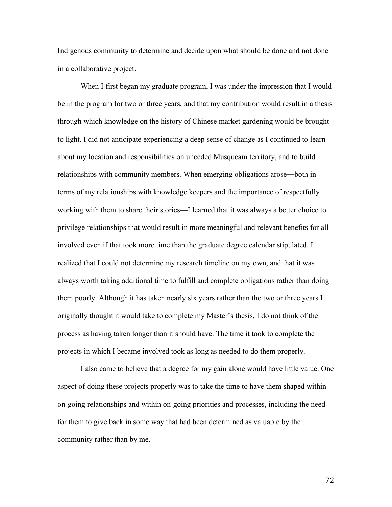Indigenous community to determine and decide upon what should be done and not done in a collaborative project.

When I first began my graduate program, I was under the impression that I would be in the program for two or three years, and that my contribution would result in a thesis through which knowledge on the history of Chinese market gardening would be brought to light. I did not anticipate experiencing a deep sense of change as I continued to learn about my location and responsibilities on unceded Musqueam territory, and to build relationships with community members. When emerging obligations arose—both in terms of my relationships with knowledge keepers and the importance of respectfully working with them to share their stories—I learned that it was always a better choice to privilege relationships that would result in more meaningful and relevant benefits for all involved even if that took more time than the graduate degree calendar stipulated. I realized that I could not determine my research timeline on my own, and that it was always worth taking additional time to fulfill and complete obligations rather than doing them poorly. Although it has taken nearly six years rather than the two or three years I originally thought it would take to complete my Master's thesis, I do not think of the process as having taken longer than it should have. The time it took to complete the projects in which I became involved took as long as needed to do them properly.

I also came to believe that a degree for my gain alone would have little value. One aspect of doing these projects properly was to take the time to have them shaped within on-going relationships and within on-going priorities and processes, including the need for them to give back in some way that had been determined as valuable by the community rather than by me.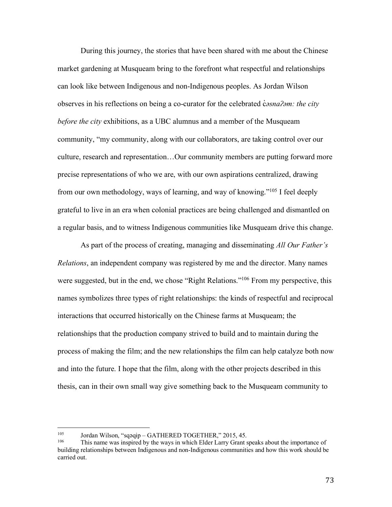During this journey, the stories that have been shared with me about the Chinese market gardening at Musqueam bring to the forefront what respectful and relationships can look like between Indigenous and non-Indigenous peoples. As Jordan Wilson observes in his reflections on being a co-curator for the celebrated c̓*əsnaʔəm: the city before the city* exhibitions, as a UBC alumnus and a member of the Musqueam community, "my community, along with our collaborators, are taking control over our culture, research and representation…Our community members are putting forward more precise representations of who we are, with our own aspirations centralized, drawing from our own methodology, ways of learning, and way of knowing."105 I feel deeply grateful to live in an era when colonial practices are being challenged and dismantled on a regular basis, and to witness Indigenous communities like Musqueam drive this change.

As part of the process of creating, managing and disseminating *All Our Father's Relations*, an independent company was registered by me and the director. Many names were suggested, but in the end, we chose "Right Relations."<sup>106</sup> From my perspective, this names symbolizes three types of right relationships: the kinds of respectful and reciprocal interactions that occurred historically on the Chinese farms at Musqueam; the relationships that the production company strived to build and to maintain during the process of making the film; and the new relationships the film can help catalyze both now and into the future. I hope that the film, along with the other projects described in this thesis, can in their own small way give something back to the Musqueam community to

<sup>&</sup>lt;sup>105</sup> Jordan Wilson, "sqəqip – GATHERED TOGETHER," 2015, 45.

This name was inspired by the ways in which Elder Larry Grant speaks about the importance of building relationships between Indigenous and non-Indigenous communities and how this work should be carried out.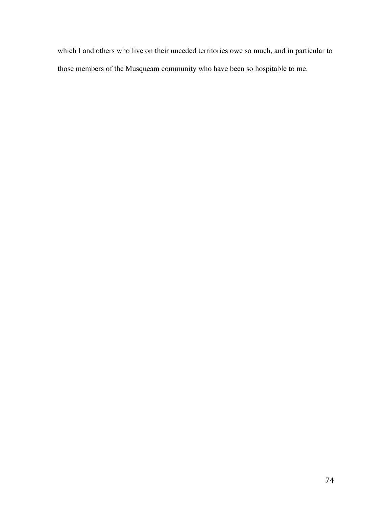which I and others who live on their unceded territories owe so much, and in particular to those members of the Musqueam community who have been so hospitable to me.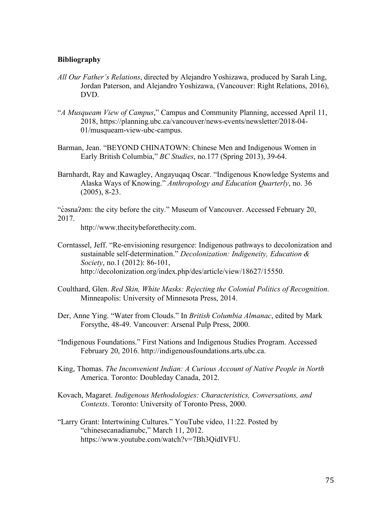# **Bibliography**

- *All Our Father's Relations*, directed by Alejandro Yoshizawa, produced by Sarah Ling, Jordan Paterson, and Alejandro Yoshizawa, (Vancouver: Right Relations, 2016), DVD.
- "*A Musqueam View of Campus*," Campus and Community Planning, accessed April 11, 2018, https://planning.ubc.ca/vancouver/news-events/newsletter/2018-04- 01/musqueam-view-ubc-campus.
- Barman, Jean. "BEYOND CHINATOWN: Chinese Men and Indigenous Women in Early British Columbia," *BC Studies*, no.177 (Spring 2013), 39-64.
- Barnhardt, Ray and Kawagley, Angayuqaq Oscar. "Indigenous Knowledge Systems and Alaska Ways of Knowing." *Anthropology and Education Quarterly*, no. 36 (2005), 8-23.

"c̓əsnaʔəm: the city before the city." Museum of Vancouver. Accessed February 20, 2017.

http://www.thecitybeforethecity.com.

- Corntassel, Jeff. "Re-envisioning resurgence: Indigenous pathways to decolonization and sustainable self-determination." *Decolonization: Indigeneity, Education & Society*, no.1 (2012): 86-101, http://decolonization.org/index.php/des/article/view/18627/15550.
- Coulthard, Glen. *Red Skin, White Masks: Rejecting the Colonial Politics of Recognition*. Minneapolis: University of Minnesota Press, 2014.
- Der, Anne Ying. "Water from Clouds." In *British Columbia Almanac*, edited by Mark Forsythe, 48-49. Vancouver: Arsenal Pulp Press, 2000.
- "Indigenous Foundations." First Nations and Indigenous Studies Program. Accessed February 20, 2016. http://indigenousfoundations.arts.ubc.ca.
- King, Thomas. *The Inconvenient Indian: A Curious Account of Native People in North*  America. Toronto: Doubleday Canada, 2012.
- Kovach, Magaret. *Indigenous Methodologies: Characteristics, Conversations, and Contexts*. Toronto: University of Toronto Press, 2000.
- "Larry Grant: Intertwining Cultures." YouTube video, 11:22. Posted by "chinesecanadianubc," March 11, 2012. https://www.youtube.com/watch?v=7Bh3QidIVFU.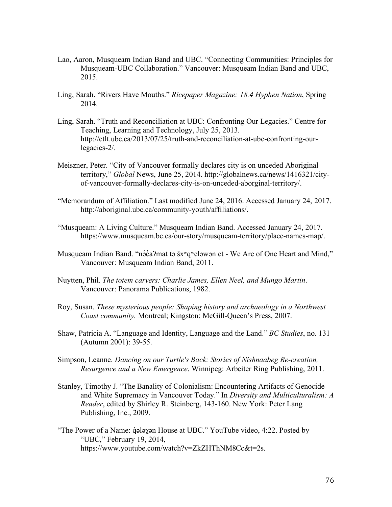- Lao, Aaron, Musqueam Indian Band and UBC. "Connecting Communities: Principles for Musqueam-UBC Collaboration." Vancouver: Musqueam Indian Band and UBC, 2015.
- Ling, Sarah. "Rivers Have Mouths." *Ricepaper Magazine: 18.4 Hyphen Nation*, Spring 2014.
- Ling, Sarah. "Truth and Reconciliation at UBC: Confronting Our Legacies." Centre for Teaching, Learning and Technology, July 25, 2013. http://ctlt.ubc.ca/2013/07/25/truth-and-reconciliation-at-ubc-confronting-ourlegacies-2/.
- Meiszner, Peter. "City of Vancouver formally declares city is on unceded Aboriginal territory," *Global* News, June 25, 2014. http://globalnews.ca/news/1416321/cityof-vancouver-formally-declares-city-is-on-unceded-aborginal-territory/.
- "Memorandum of Affiliation." Last modified June 24, 2016. Accessed January 24, 2017. http://aboriginal.ubc.ca/community-youth/affiliations/.
- "Musqueam: A Living Culture." Musqueam Indian Band. Accessed January 24, 2017. https://www.musqueam.bc.ca/our-story/musqueam-territory/place-names-map/.
- Musqueam Indian Band. "nəca?mat tə šx<sup>w</sup>q veləwən ct We Are of One Heart and Mind," Vancouver: Musqueam Indian Band, 2011.
- Nuytten, Phil. *The totem carvers: Charlie James, Ellen Neel, and Mungo Martin*. Vancouver: Panorama Publications, 1982.
- Roy, Susan. *These mysterious people: Shaping history and archaeology in a Northwest Coast community.* Montreal; Kingston: McGill-Queen's Press, 2007.
- Shaw, Patricia A. "Language and Identity, Language and the Land." *BC Studies*, no. 131 (Autumn 2001): 39-55.
- Simpson, Leanne. *Dancing on our Turtle's Back: Stories of Nishnaabeg Re-creation, Resurgence and a New Emergence*. Winnipeg: Arbeiter Ring Publishing, 2011.
- Stanley, Timothy J. "The Banality of Colonialism: Encountering Artifacts of Genocide and White Supremacy in Vancouver Today." In *Diversity and Multiculturalism: A Reader*, edited by Shirley R. Steinberg, 143-160. New York: Peter Lang Publishing, Inc., 2009.
- "The Power of a Name:  $\dot{q}$  alayon House at UBC." YouTube video, 4:22. Posted by "UBC," February 19, 2014, https://www.youtube.com/watch?v=ZkZHThNM8Cc&t=2s.